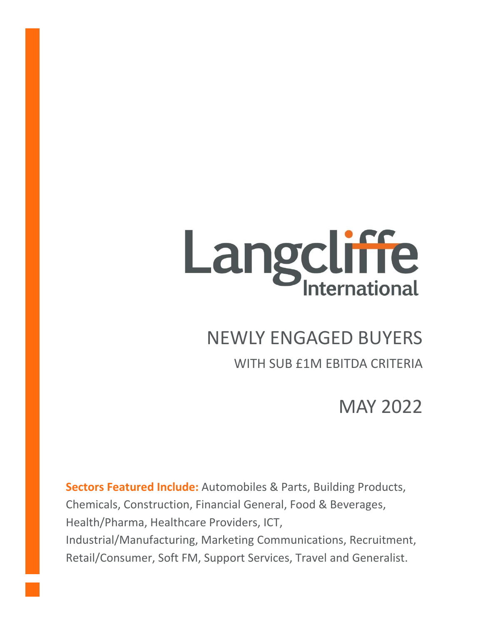# Langcliffe

# NEWLY ENGAGED BUYERS

WITH SUB £1M EBITDA CRITERIA

MAY 2022

**Sectors Featured Include:** Automobiles & Parts, Building Products, Chemicals, Construction, Financial General, Food & Beverages, Health/Pharma, Healthcare Providers, ICT, Industrial/Manufacturing, Marketing Communications, Recruitment, Retail/Consumer, Soft FM, Support Services, Travel and Generalist.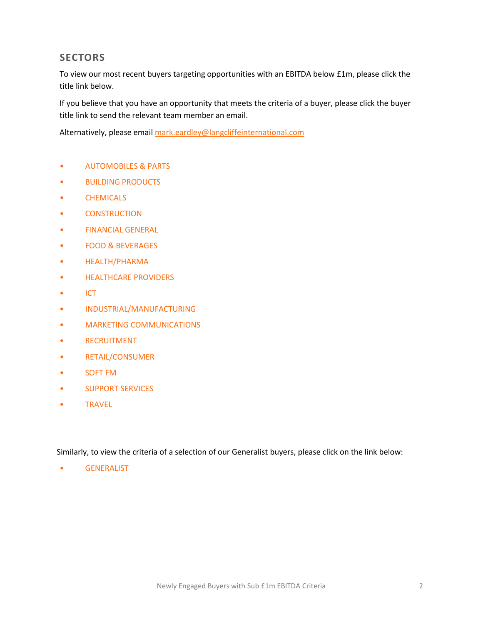# **SECTORS**

To view our most recent buyers targeting opportunities with an EBITDA below £1m, please click the title link below.

If you believe that you have an opportunity that meets the criteria of a buyer, please click the buyer title link to send the relevant team member an email.

Alternatively, please email [mark.eardley@langcliffeinternational.com](mailto:mark.eardley@langcliffeinternational.com?subject=Newly%20Engaged%20Buyers%20-%20Sub%20£1m%20EBITDA%20-%20May%2022)

- [AUTOMOBILES & PARTS](#page-2-0)
- [BUILDING PRODUCTS](#page-3-0)
- [CHEMICALS](#page-4-0)
- [CONSTRUCTION](#page-5-0)
- [FINANCIAL GENERAL](#page-7-0)
- [FOOD & BEVERAGES](#page-8-0)
- HEALTH/PHARMA
- [HEALTHCARE PROVIDERS](#page-13-0)
- [ICT](#page-14-0)
- [INDUSTRIAL/MANUFACTURING](#page-20-0)
- [MARKETING COMMUNICATIONS](#page-22-0)
- [RECRUITMENT](#page-24-0)
- [RETAIL/CONSUMER](#page-25-0)
- [SOFT FM](#page-27-0)
- [SUPPORT SERVICES](#page-29-0)
- [TRAVEL](#page-35-0)

Similarly, to view the criteria of a selection of our Generalist buyers, please click on the link below:

• [GENERALIST](#page-36-0)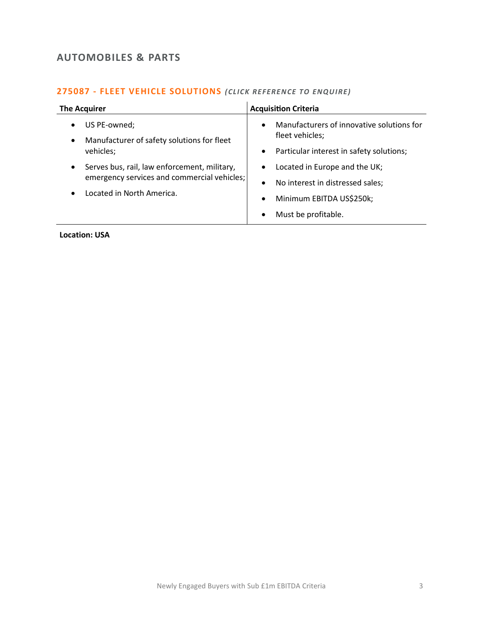# <span id="page-2-0"></span>**AUTOMOBILES & PARTS**

#### **275087 - [FLEET VEHICLE SOLUTIONS](mailto:eloka.philip@langcliffeinternational.com?subject=275087%20-%20Fleet%20Vehicle%20Solutions)** (CLICK REFERENCE TO ENQUIRE)

| <b>The Acquirer</b>                                                                                                                                | <b>Acquisition Criteria</b>                                                                                                                              |
|----------------------------------------------------------------------------------------------------------------------------------------------------|----------------------------------------------------------------------------------------------------------------------------------------------------------|
| US PE-owned;<br>$\bullet$<br>Manufacturer of safety solutions for fleet<br>$\bullet$<br>vehicles;                                                  | Manufacturers of innovative solutions for<br>$\bullet$<br>fleet vehicles;<br>Particular interest in safety solutions;<br>$\bullet$                       |
| Serves bus, rail, law enforcement, military,<br>$\bullet$<br>emergency services and commercial vehicles;<br>Located in North America.<br>$\bullet$ | Located in Europe and the UK;<br>٠<br>No interest in distressed sales;<br>$\bullet$<br>Minimum EBITDA US\$250k;<br>$\bullet$<br>Must be profitable.<br>٠ |

**Location: USA**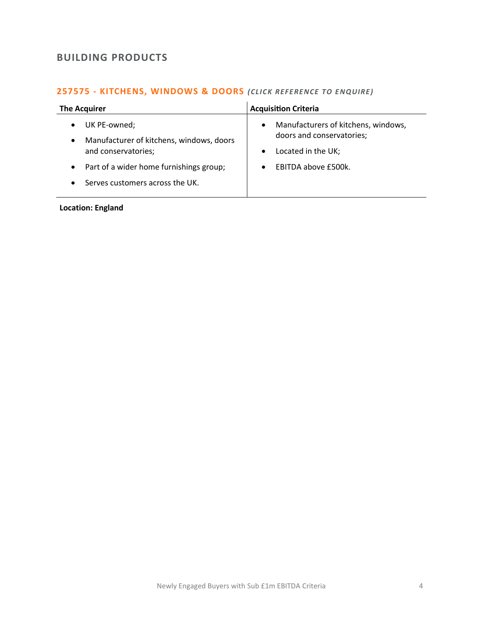# <span id="page-3-0"></span>**BUILDING PRODUCTS**

# **257575 - [KITCHENS, WINDOWS & DOORS](mailto:maryia.amrez@langcliffeinternational.com?subject=257575%20-%20Kitchens,%20Windows%20and%20Doors)** *(CLICK REFE RENCE TO E NQUIRE )*

| <b>The Acquirer</b>                                                                          | <b>Acquisition Criteria</b>                                                                                      |
|----------------------------------------------------------------------------------------------|------------------------------------------------------------------------------------------------------------------|
| UK PE-owned;<br>Manufacturer of kitchens, windows, doors<br>$\bullet$<br>and conservatories; | Manufacturers of kitchens, windows,<br>$\bullet$<br>doors and conservatories;<br>Located in the UK;<br>$\bullet$ |
| Part of a wider home furnishings group;<br>$\bullet$                                         | <b>EBITDA above £500k.</b><br>$\bullet$                                                                          |
| Serves customers across the UK.                                                              |                                                                                                                  |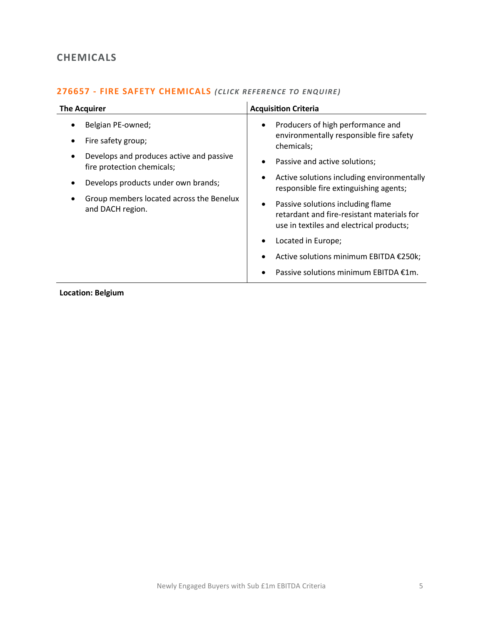# <span id="page-4-0"></span>**CHEMICALS**

#### **276657 - [FIRE SAFETY CHEMICALS](mailto:poppy.briggs@langcliffeinternational.com?subject=276657%20-%20Fire%20Safety%20Chemicals)** *(CLICK REFERENCE TO ENQUIRE)*

| <b>The Acquirer</b>                                                    | <b>Acquisition Criteria</b>                                                                                                              |
|------------------------------------------------------------------------|------------------------------------------------------------------------------------------------------------------------------------------|
| Belgian PE-owned;                                                      | Producers of high performance and<br>$\bullet$                                                                                           |
| Fire safety group;                                                     | environmentally responsible fire safety<br>chemicals;                                                                                    |
| Develops and produces active and passive<br>fire protection chemicals; | Passive and active solutions;                                                                                                            |
| Develops products under own brands;                                    | Active solutions including environmentally<br>responsible fire extinguishing agents;                                                     |
| Group members located across the Benelux<br>and DACH region.           | Passive solutions including flame<br>$\bullet$<br>retardant and fire-resistant materials for<br>use in textiles and electrical products; |
|                                                                        | Located in Europe;                                                                                                                       |
|                                                                        | Active solutions minimum EBITDA €250k;                                                                                                   |
|                                                                        | Passive solutions minimum EBITDA €1m.                                                                                                    |

**Location: Belgium**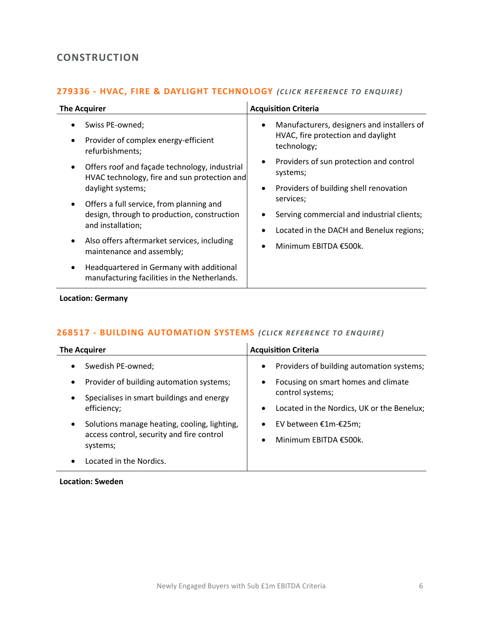# <span id="page-5-0"></span>**CONSTRUCTION**

#### **279336 - [HVAC, FIRE & DAYLIGHT TECHNOLOGY](mailto:poppy.briggs@langcliffeinternational.com?subject=279336%20-%20HVAC,%20Fire%20and%20Daylight%20Technology)** *(CLICK RE FEREN CE TO ENQUIRE)*

|           | <b>The Acquirer</b>                                                                                                |                | <b>Acquisition Criteria</b>                                                                         |
|-----------|--------------------------------------------------------------------------------------------------------------------|----------------|-----------------------------------------------------------------------------------------------------|
| ٠         | Swiss PE-owned;<br>Provider of complex energy-efficient<br>refurbishments;                                         | $\bullet$      | Manufacturers, designers and installers of<br>HVAC, fire protection and daylight<br>technology;     |
| $\bullet$ | Offers roof and façade technology, industrial<br>HVAC technology, fire and sun protection and<br>daylight systems; | ٠<br>$\bullet$ | Providers of sun protection and control<br>systems;<br>Providers of building shell renovation       |
|           | Offers a full service, from planning and<br>design, through to production, construction<br>and installation;       |                | services;<br>Serving commercial and industrial clients;<br>Located in the DACH and Benelux regions; |
| $\bullet$ | Also offers aftermarket services, including<br>maintenance and assembly;                                           |                | Minimum EBITDA €500k.                                                                               |
| $\bullet$ | Headquartered in Germany with additional<br>manufacturing facilities in the Netherlands.                           |                |                                                                                                     |

#### **Location: Germany**

#### **268517 - [BUILDING AUTOMATION SYSTEMS](mailto:charlotte.keane@langcliffeinternational.com?subject=268517%20-%20Building%20Automation%20Systems)** (CLICK REFERENCE TO ENQUIRE)

| <b>The Acquirer</b>                                    | <b>Acquisition Criteria</b>                             |
|--------------------------------------------------------|---------------------------------------------------------|
| Swedish PE-owned;                                      | Providers of building automation systems;               |
| $\bullet$                                              | $\bullet$                                               |
| Provider of building automation systems;               | Focusing on smart homes and climate                     |
| $\bullet$                                              | ٠                                                       |
| Specialises in smart buildings and energy<br>$\bullet$ | control systems;                                        |
| efficiency;                                            | Located in the Nordics, UK or the Benelux;<br>$\bullet$ |
| Solutions manage heating, cooling, lighting,           | EV between €1m-€25m;                                    |
| $\bullet$                                              | $\bullet$                                               |
| access control, security and fire control              | Minimum EBITDA €500k.                                   |
| systems;                                               | $\bullet$                                               |
| Located in the Nordics.                                |                                                         |

#### **Location: Sweden**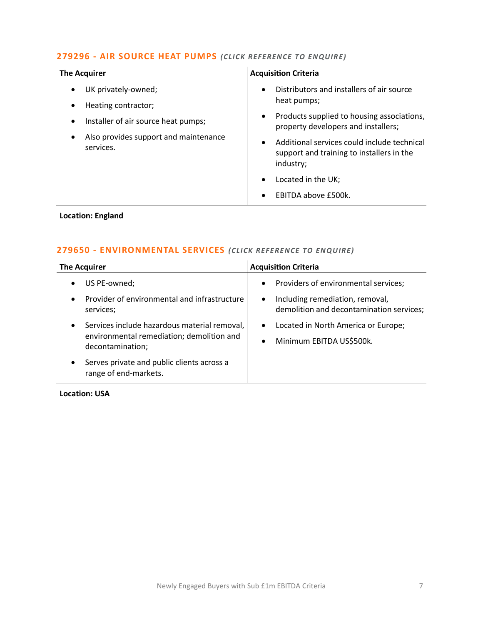#### **279296 - [AIR SOURCE HEAT PUMPS](mailto:jack.hutchinson@langcliffeinternational.com?subject=279296%20-%20Air%20Source%20Heat%20Pumps)** *(CLICK REFEREN CE TO EN QUIRE)*

| <b>The Acquirer</b>                                     | <b>Acquisition Criteria</b>                                                                                        |
|---------------------------------------------------------|--------------------------------------------------------------------------------------------------------------------|
| UK privately-owned;<br>$\bullet$<br>Heating contractor; | Distributors and installers of air source<br>$\bullet$<br>heat pumps;                                              |
| Installer of air source heat pumps;<br>$\bullet$        | Products supplied to housing associations,<br>$\bullet$<br>property developers and installers;                     |
| Also provides support and maintenance<br>services.      | Additional services could include technical<br>$\bullet$<br>support and training to installers in the<br>industry; |
|                                                         | Located in the UK;<br>$\bullet$                                                                                    |
|                                                         | EBITDA above £500k.<br>$\bullet$                                                                                   |

#### **Location: England**

# **279650 - [ENVIRONMENTAL SERVICES](mailto:george.davies@langcliffeinternational.com?subject=279650%20-%20Environmental%20Services)** *(CLICK REFE RENCE TO EN QUIRE)*

| <b>The Acquirer</b>                                                              | <b>Acquisition Criteria</b>              |
|----------------------------------------------------------------------------------|------------------------------------------|
| US PE-owned;                                                                     | Providers of environmental services;     |
| ٠                                                                                | $\bullet$                                |
| Provider of environmental and infrastructure                                     | Including remediation, removal,          |
| $\bullet$                                                                        | $\bullet$                                |
| services;                                                                        | demolition and decontamination services; |
| Services include hazardous material removal,                                     | Located in North America or Europe;      |
| $\bullet$                                                                        | $\bullet$                                |
| environmental remediation; demolition and                                        | Minimum EBITDA US\$500k.                 |
| decontamination;                                                                 | $\bullet$                                |
| Serves private and public clients across a<br>$\bullet$<br>range of end-markets. |                                          |

**Location: USA**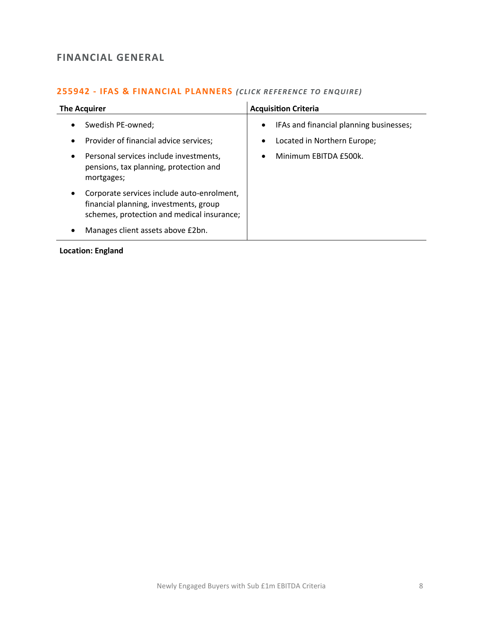# <span id="page-7-0"></span>**FINANCIAL GENERAL**

#### **255942 - [IFAS & FINANCIAL PLANNERS](mailto:lauren.parker@langcliffeinternational.com?subject=255942%20-%20IFAs%20and%20Financial%20Planners)** *(CLICK RE FERENCE TO EN QUIRE)*

| <b>The Acquirer</b>                                                                                                                     | <b>Acquisition Criteria</b>                          |
|-----------------------------------------------------------------------------------------------------------------------------------------|------------------------------------------------------|
| Swedish PE-owned;<br>٠                                                                                                                  | IFAs and financial planning businesses;<br>$\bullet$ |
| Provider of financial advice services;<br>$\bullet$                                                                                     | Located in Northern Europe;<br>٠                     |
| Personal services include investments,<br>$\bullet$<br>pensions, tax planning, protection and<br>mortgages;                             | Minimum EBITDA £500k.<br>$\bullet$                   |
| Corporate services include auto-enrolment,<br>٠<br>financial planning, investments, group<br>schemes, protection and medical insurance; |                                                      |
| Manages client assets above £2bn.<br>٠                                                                                                  |                                                      |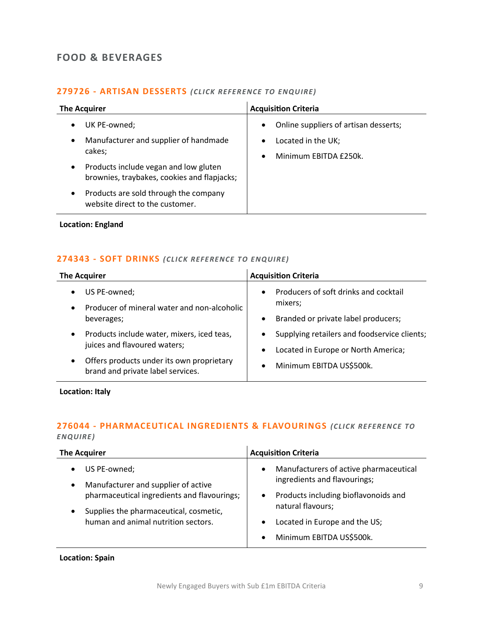# <span id="page-8-0"></span>**FOOD & BEVERAGES**

#### **279726 - [ARTISAN DESSERTS](mailto:maryia.amrez@langcliffeinternational.com?subject=279726%20-%20Artisan%20Desserts)** *(CLICK REFE RENCE TO ENQUIRE)*

| <b>The Acquirer</b>                                                                               | <b>Acquisition Criteria</b>                                           |
|---------------------------------------------------------------------------------------------------|-----------------------------------------------------------------------|
| UK PE-owned;<br>$\bullet$                                                                         | Online suppliers of artisan desserts;<br>$\bullet$                    |
| Manufacturer and supplier of handmade<br>$\bullet$<br>cakes;                                      | Located in the UK;<br>$\bullet$<br>Minimum FBITDA £250k.<br>$\bullet$ |
| Products include vegan and low gluten<br>$\bullet$<br>brownies, traybakes, cookies and flapjacks; |                                                                       |
| Products are sold through the company<br>$\bullet$<br>website direct to the customer.             |                                                                       |

**Location: England**

#### **274343 - [SOFT DRINKS](mailto:george.davies@langcliffeinternational.com?subject=274343%20-%20Soft%20Drinks)** *(CLICK REFE RENCE TO ENQUIRE)*

| <b>The Acquirer</b>                                                                         | <b>Acquisition Criteria</b>                        |
|---------------------------------------------------------------------------------------------|----------------------------------------------------|
| US PE-owned;                                                                                | Producers of soft drinks and cocktail<br>$\bullet$ |
| Producer of mineral water and non-alcoholic                                                 | mixers;                                            |
| beverages;                                                                                  | Branded or private label producers;                |
| Products include water, mixers, iced teas,<br>$\bullet$                                     | Supplying retailers and foodservice clients;       |
| juices and flavoured waters;                                                                | Located in Europe or North America;<br>$\bullet$   |
| Offers products under its own proprietary<br>$\bullet$<br>brand and private label services. | Minimum EBITDA US\$500k.<br>$\bullet$              |

**Location: Italy**

#### **276044 - [PHARMACEUTICAL INGREDIENTS & FLAVOURINGS](mailto:george.davies@langcliffeinternational.com?subject=276044%20-%20Pharmaceutical%20Ingredients%20and%20Flavourings)** *(CLICK RE FERENCE TO ENQUIRE )*

| <b>The Acquirer</b>                                                                                                                                                                                                        | <b>Acquisition Criteria</b>                                                                                                                                                                                                                          |
|----------------------------------------------------------------------------------------------------------------------------------------------------------------------------------------------------------------------------|------------------------------------------------------------------------------------------------------------------------------------------------------------------------------------------------------------------------------------------------------|
| US PE-owned;<br>$\bullet$<br>Manufacturer and supplier of active<br>$\bullet$<br>pharmaceutical ingredients and flavourings;<br>Supplies the pharmaceutical, cosmetic,<br>$\bullet$<br>human and animal nutrition sectors. | Manufacturers of active pharmaceutical<br>$\bullet$<br>ingredients and flavourings;<br>Products including bioflavonoids and<br>$\bullet$<br>natural flavours;<br>Located in Europe and the US;<br>$\bullet$<br>Minimum EBITDA US\$500k.<br>$\bullet$ |

**Location: Spain**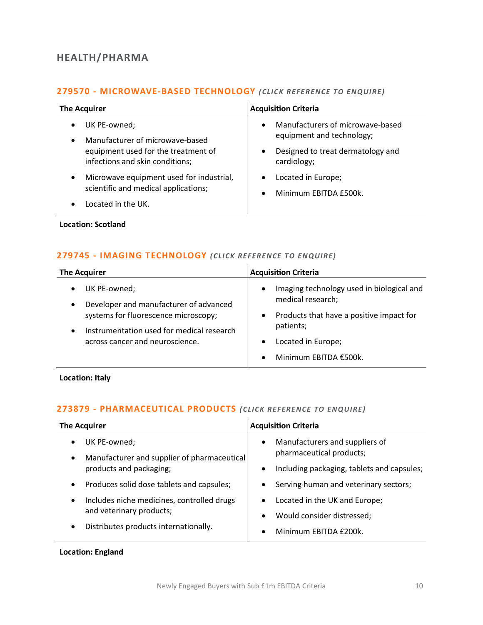# **HEALTH/PHARMA**

#### **279570 - [MICROWAVE-BASED TECHNOLOGY](mailto:maryia.amrez@langcliffeinternational.com?subject=279570%20-%20Microwave-Based%20Technology)** *(CLICK REFE RENCE TO ENQUIRE)*

| <b>The Acquirer</b>                                                                                                                                 | <b>Acquisition Criteria</b>                                                                                                                 |
|-----------------------------------------------------------------------------------------------------------------------------------------------------|---------------------------------------------------------------------------------------------------------------------------------------------|
| UK PE-owned;<br>$\bullet$<br>Manufacturer of microwave-based<br>$\bullet$<br>equipment used for the treatment of<br>infections and skin conditions; | Manufacturers of microwave-based<br>$\bullet$<br>equipment and technology;<br>Designed to treat dermatology and<br>$\bullet$<br>cardiology; |
| Microwave equipment used for industrial,<br>$\bullet$<br>scientific and medical applications;<br>Located in the UK.                                 | Located in Europe;<br>Minimum EBITDA £500k.<br>$\bullet$                                                                                    |

#### **Location: Scotland**

#### **279745 - [IMAGING TECHNOLOGY](mailto:maryia.amrez@langcliffeinternational.com?subject=279745%20-%20Imaging%20Technology)** *(CLICK RE FERENCE TO EN QUIRE)*

| <b>The Acquirer</b>                                                                                                                                                            | <b>Acquisition Criteria</b>                                                                                                                                                                                   |
|--------------------------------------------------------------------------------------------------------------------------------------------------------------------------------|---------------------------------------------------------------------------------------------------------------------------------------------------------------------------------------------------------------|
| UK PE-owned;<br>Developer and manufacturer of advanced<br>systems for fluorescence microscopy;<br>Instrumentation used for medical research<br>across cancer and neuroscience. | Imaging technology used in biological and<br>$\bullet$<br>medical research;<br>Products that have a positive impact for<br>$\bullet$<br>patients;<br>Located in Europe;<br>Minimum EBITDA €500k.<br>$\bullet$ |

**Location: Italy**

#### **273879 - [PHARMACEUTICAL PRODUCTS](mailto:emily.mcdermott@langcliffeinternational.com?subject=273879%20-%20Pharmaceutical%20Products)** *(CLICK RE FERENCE TO EN QUIRE)*

| <b>The Acquirer</b>                                    | <b>Acquisition Criteria</b>                |
|--------------------------------------------------------|--------------------------------------------|
| UK PE-owned;                                           | Manufacturers and suppliers of             |
| $\bullet$                                              | $\bullet$                                  |
| Manufacturer and supplier of pharmaceutical            | pharmaceutical products;                   |
| $\bullet$                                              | Including packaging, tablets and capsules; |
| products and packaging;                                | $\bullet$                                  |
| Produces solid dose tablets and capsules;<br>$\bullet$ | Serving human and veterinary sectors;      |
| Includes niche medicines, controlled drugs             | Located in the UK and Europe;              |
| $\bullet$                                              | Would consider distressed;                 |
| and veterinary products;                               | $\bullet$                                  |
| Distributes products internationally.                  | Minimum EBITDA £200k.                      |
| ٠                                                      | $\bullet$                                  |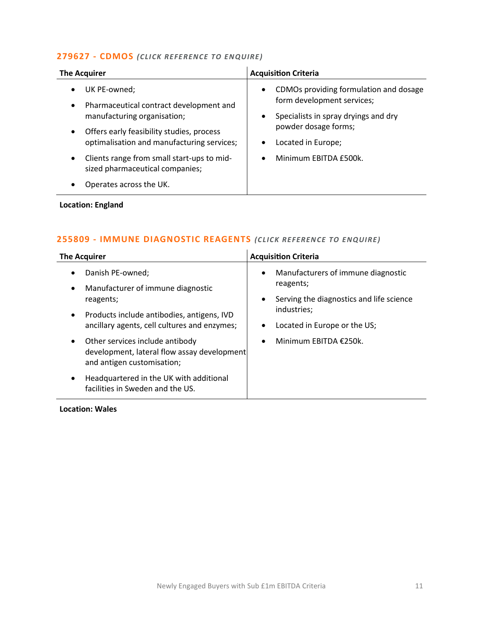#### **[279627 -](mailto:maryia.amrez@langcliffeinternational.com?subject=279627%20-%20CDMOs) CDMOS** *(CLICK REFE RENCE TO EN QUIRE)*

| CDMOs providing formulation and dosage<br>UK PE-owned;<br>$\bullet$<br>$\bullet$<br>form development services;<br>Pharmaceutical contract development and<br>$\bullet$<br>manufacturing organisation;<br>Specialists in spray dryings and dry<br>$\bullet$<br>powder dosage forms;<br>Offers early feasibility studies, process<br>$\bullet$<br>optimalisation and manufacturing services;<br>Located in Europe;<br>Clients range from small start-ups to mid-<br>Minimum EBITDA £500k.<br>$\bullet$<br>$\bullet$<br>sized pharmaceutical companies;<br>Operates across the UK.<br>٠ | <b>The Acquirer</b> | <b>Acquisition Criteria</b> |
|--------------------------------------------------------------------------------------------------------------------------------------------------------------------------------------------------------------------------------------------------------------------------------------------------------------------------------------------------------------------------------------------------------------------------------------------------------------------------------------------------------------------------------------------------------------------------------------|---------------------|-----------------------------|
|                                                                                                                                                                                                                                                                                                                                                                                                                                                                                                                                                                                      |                     |                             |

#### **Location: England**

#### **255809 - [IMMUNE DIAGNOSTIC REAGENTS](mailto:charlotte.keane@langcliffeinternational.com?subject=255809%20-%20Immune%20Diagnostic%20Reagents)** (CLICK REFERENCE TO ENQUIRE)

| <b>The Acquirer</b>                                                                                                       | <b>Acquisition Criteria</b>                                  |
|---------------------------------------------------------------------------------------------------------------------------|--------------------------------------------------------------|
| Danish PE-owned;<br>Manufacturer of immune diagnostic<br>$\bullet$                                                        | Manufacturers of immune diagnostic<br>$\bullet$<br>reagents; |
| reagents;                                                                                                                 | Serving the diagnostics and life science<br>$\bullet$        |
| Products include antibodies, antigens, IVD<br>$\bullet$<br>ancillary agents, cell cultures and enzymes;                   | industries;<br>Located in Europe or the US;                  |
| Other services include antibody<br>$\bullet$<br>development, lateral flow assay development<br>and antigen customisation; | Minimum EBITDA €250k.<br>٠                                   |
| Headquartered in the UK with additional<br>facilities in Sweden and the U.S.                                              |                                                              |

#### **Location: Wales**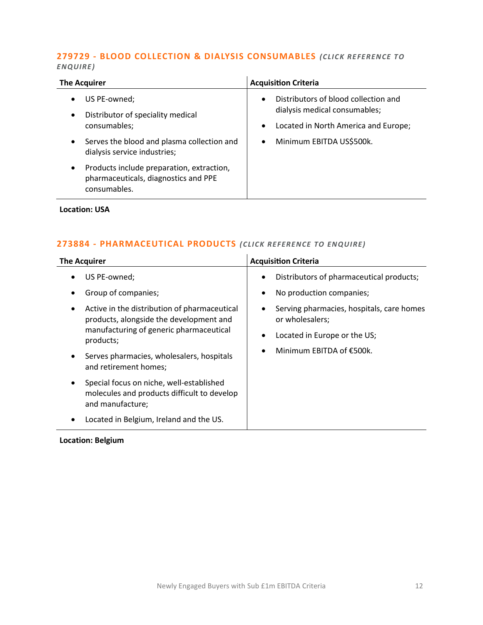#### **279729 - [BLOOD COLLECTION & DIALYSIS CONSUMABLES](mailto:george.davies@langcliffeinternational.com?subject=279729%20-%20Blood%20Collection%20and%20Dialysis%20Consumables)** *(CLICK RE FEREN CE TO ENQUIRE )*

| <b>The Acquirer</b>                                                                               | <b>Acquisition Criteria</b>                                                                                                             |
|---------------------------------------------------------------------------------------------------|-----------------------------------------------------------------------------------------------------------------------------------------|
| US PE-owned;<br>Distributor of speciality medical<br>$\bullet$<br>consumables;                    | Distributors of blood collection and<br>$\bullet$<br>dialysis medical consumables;<br>Located in North America and Europe;<br>$\bullet$ |
| Serves the blood and plasma collection and<br>$\bullet$<br>dialysis service industries;           | Minimum EBITDA US\$500k.<br>$\bullet$                                                                                                   |
| Products include preparation, extraction,<br>pharmaceuticals, diagnostics and PPE<br>consumables. |                                                                                                                                         |

**Location: USA**

#### **273884 - [PHARMACEUTICAL PRODUCTS](mailto:poppy.briggs@langcliffeinternational.com?subject=273884%20-%20Pharmaceutical%20Products)** *(CLICK RE FERENCE TO EN QUIRE)*

| <b>The Acquirer</b>                                                                                                                             | <b>Acquisition Criteria</b>                                                                  |
|-------------------------------------------------------------------------------------------------------------------------------------------------|----------------------------------------------------------------------------------------------|
| US PE-owned;                                                                                                                                    | Distributors of pharmaceutical products;                                                     |
| Group of companies;                                                                                                                             | No production companies;<br>٠                                                                |
| Active in the distribution of pharmaceutical<br>products, alongside the development and<br>manufacturing of generic pharmaceutical<br>products; | Serving pharmacies, hospitals, care homes<br>or wholesalers;<br>Located in Europe or the US; |
| Serves pharmacies, wholesalers, hospitals<br>$\bullet$<br>and retirement homes;                                                                 | Minimum EBITDA of €500k.                                                                     |
| Special focus on niche, well-established<br>molecules and products difficult to develop<br>and manufacture;                                     |                                                                                              |
| Located in Belgium, Ireland and the US.                                                                                                         |                                                                                              |

**Location: Belgium**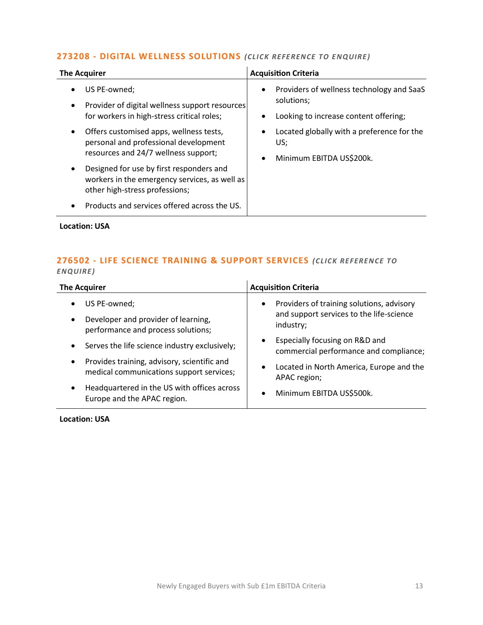#### **273208 - [DIGITAL WELLNESS SOLUTIONS](mailto:george.davies@langcliffeinternational.com?subject=273208%20-%20Digital%20Wellness%20Solutions)** *(CLICK REFE RENCE TO E NQUIRE )*

| <b>The Acquirer</b>                                                                                                                                                                                                                                                                                                                                                                                                                                                                      | <b>Acquisition Criteria</b>                                                                                                                                                                                      |
|------------------------------------------------------------------------------------------------------------------------------------------------------------------------------------------------------------------------------------------------------------------------------------------------------------------------------------------------------------------------------------------------------------------------------------------------------------------------------------------|------------------------------------------------------------------------------------------------------------------------------------------------------------------------------------------------------------------|
| US PE-owned;<br>$\bullet$<br>Provider of digital wellness support resources<br>$\bullet$<br>for workers in high-stress critical roles;<br>Offers customised apps, wellness tests,<br>$\bullet$<br>personal and professional development<br>resources and 24/7 wellness support;<br>Designed for use by first responders and<br>$\bullet$<br>workers in the emergency services, as well as<br>other high-stress professions;<br>Products and services offered across the US.<br>$\bullet$ | Providers of wellness technology and SaaS<br>$\bullet$<br>solutions;<br>Looking to increase content offering;<br>Located globally with a preference for the<br>٠<br>US;<br>Minimum EBITDA US\$200k.<br>$\bullet$ |
| <b>Location: USA</b>                                                                                                                                                                                                                                                                                                                                                                                                                                                                     |                                                                                                                                                                                                                  |

#### **276502 - [LIFE SCIENCE TRAINING & SUPPORT SERVICES](mailto:george.davies@langcliffeinternational.com?subject=276502%20-%20Life%20Science%20Training%20and%20Support%20Services)** *(CLICK RE FEREN CE TO ENQUIRE )*

| <b>The Acquirer</b>                                                                                  | <b>Acquisition Criteria</b>                                                                        |
|------------------------------------------------------------------------------------------------------|----------------------------------------------------------------------------------------------------|
| US PE-owned;                                                                                         | Providers of training solutions, advisory<br>$\bullet$<br>and support services to the life-science |
| Developer and provider of learning,<br>performance and process solutions;                            | industry;                                                                                          |
| Serves the life science industry exclusively;                                                        | Especially focusing on R&D and<br>$\bullet$<br>commercial performance and compliance;              |
| Provides training, advisory, scientific and<br>$\bullet$<br>medical communications support services; | Located in North America, Europe and the<br>$\bullet$<br>APAC region;                              |
| Headquartered in the US with offices across<br>Europe and the APAC region.                           | Minimum EBITDA US\$500k.<br>$\bullet$                                                              |

**Location: USA**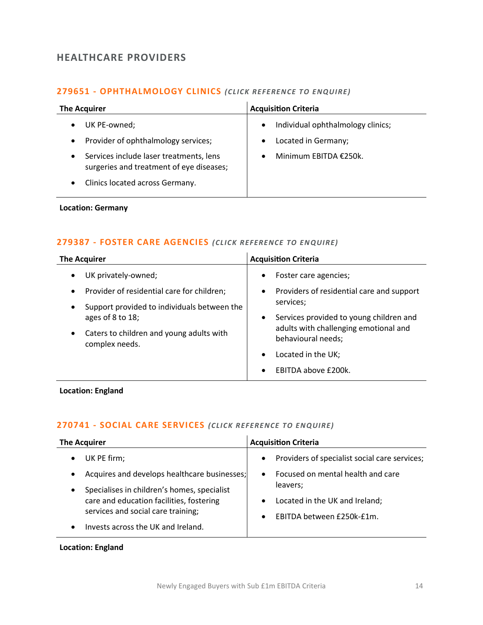# <span id="page-13-0"></span>**HEALTHCARE PROVIDERS**

#### **279651 - [OPHTHALMOLOGY CLINICS](mailto:maryia.amrez@langcliffeinternational.com?subject=279651%20-%20Ophthalmology%20Clinics)** *(CLICK RE FEREN CE TO ENQUIRE)*

| <b>The Acquirer</b>                                                                              | <b>Acquisition Criteria</b>                    |
|--------------------------------------------------------------------------------------------------|------------------------------------------------|
| UK PE-owned;                                                                                     | Individual ophthalmology clinics;<br>$\bullet$ |
| Provider of ophthalmology services;                                                              | Located in Germany;<br>$\bullet$               |
| Services include laser treatments, lens<br>$\bullet$<br>surgeries and treatment of eye diseases; | Minimum EBITDA €250k.<br>$\bullet$             |
| Clinics located across Germany.                                                                  |                                                |

#### **Location: Germany**

#### **279387 - [FOSTER CARE AGENCIES](mailto:lauren.parker@langcliffeinternational.com?subject=279387%20-%20Foster%20Care%20Agencies)** *(CLICK REFERENCE TO EN QUIRE)*

| <b>The Acquirer</b>                                                          | <b>Acquisition Criteria</b>                                       |
|------------------------------------------------------------------------------|-------------------------------------------------------------------|
| UK privately-owned;<br>$\bullet$                                             | Foster care agencies;<br>$\bullet$                                |
| Provider of residential care for children;<br>$\bullet$                      | Providers of residential care and support<br>$\bullet$            |
| Support provided to individuals between the<br>$\bullet$<br>ages of 8 to 18; | services;<br>Services provided to young children and<br>$\bullet$ |
| Caters to children and young adults with<br>$\bullet$<br>complex needs.      | adults with challenging emotional and<br>behavioural needs;       |
|                                                                              | Located in the UK;                                                |
|                                                                              | <b>EBITDA above £200k.</b><br>$\bullet$                           |

**Location: England**

#### **270741 - [SOCIAL CARE SERVICES](mailto:emily.mcdermott@langcliffeinternational.com?subject=270741%20-%20Social%20Care%20Services)** *(CLICK REFERENCE TO EN QUIRE)*

| <b>The Acquirer</b>                                                                                                                                                                                                                                                       | <b>Acquisition Criteria</b>                                                                                                                                                                                       |
|---------------------------------------------------------------------------------------------------------------------------------------------------------------------------------------------------------------------------------------------------------------------------|-------------------------------------------------------------------------------------------------------------------------------------------------------------------------------------------------------------------|
| UK PE firm;<br>$\bullet$<br>Acquires and develops healthcare businesses;<br>$\bullet$<br>Specialises in children's homes, specialist<br>$\bullet$<br>care and education facilities, fostering<br>services and social care training;<br>Invests across the UK and Ireland. | Providers of specialist social care services;<br>$\bullet$<br>Focused on mental health and care<br>$\bullet$<br>leavers;<br>Located in the UK and Ireland;<br>$\bullet$<br>EBITDA between £250k-£1m.<br>$\bullet$ |
|                                                                                                                                                                                                                                                                           |                                                                                                                                                                                                                   |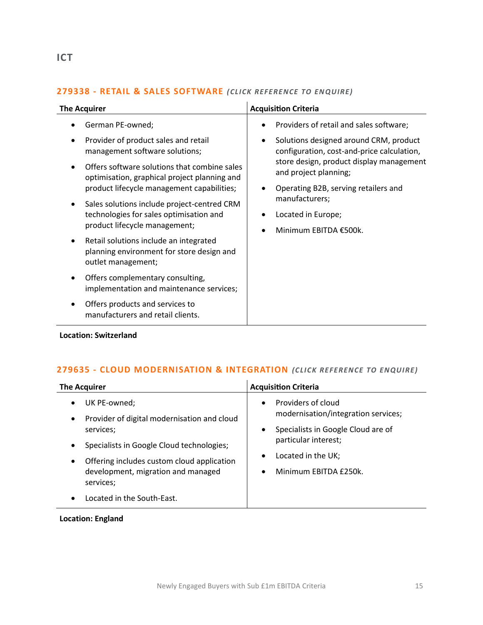#### **The Acquirer Acquirer Acquisition Criteria** • German PE-owned; • Provider of product sales and retail management software solutions; • Offers software solutions that combine sales optimisation, graphical project planning and product lifecycle management capabilities; • Sales solutions include project-centred CRM technologies for sales optimisation and product lifecycle management; • Retail solutions include an integrated planning environment for store design and outlet management; • Offers complementary consulting, implementation and maintenance services; • Offers products and services to manufacturers and retail clients. • Providers of retail and sales software; • Solutions designed around CRM, product configuration, cost-and-price calculation, store design, product display management and project planning; • Operating B2B, serving retailers and manufacturers; • Located in Europe; • Minimum EBITDA €500k.

#### <span id="page-14-0"></span>**279338 - [RETAIL & SALES SOFTWARE](mailto:poppy.briggs@langcliffeinternational.com?subject=279338%20-%20Retail%20and%20Sales%20Software)** *(CLICK REFE RENCE TO EN QUIRE)*

#### **Location: Switzerland**

#### **279635 - [CLOUD MODERNISATION & INTEGRATION](mailto:emily.mcdermott@langcliffeinternational.com?subject=279635%20-%20Cloud%20Modernisation%20and%20Integration)** *(CLICK RE FE RENCE TO EN QUIRE)*

| <b>The Acquirer</b>                                                                                                                                                                                                                                                                                      | <b>Acquisition Criteria</b>                                                                                                                                                                                                |
|----------------------------------------------------------------------------------------------------------------------------------------------------------------------------------------------------------------------------------------------------------------------------------------------------------|----------------------------------------------------------------------------------------------------------------------------------------------------------------------------------------------------------------------------|
| UK PE-owned;<br>$\bullet$<br>Provider of digital modernisation and cloud<br>$\bullet$<br>services;<br>Specialists in Google Cloud technologies;<br>$\bullet$<br>Offering includes custom cloud application<br>$\bullet$<br>development, migration and managed<br>services;<br>Located in the South-East. | Providers of cloud<br>$\bullet$<br>modernisation/integration services;<br>Specialists in Google Cloud are of<br>$\bullet$<br>particular interest;<br>Located in the UK;<br>$\bullet$<br>Minimum EBITDA £250k.<br>$\bullet$ |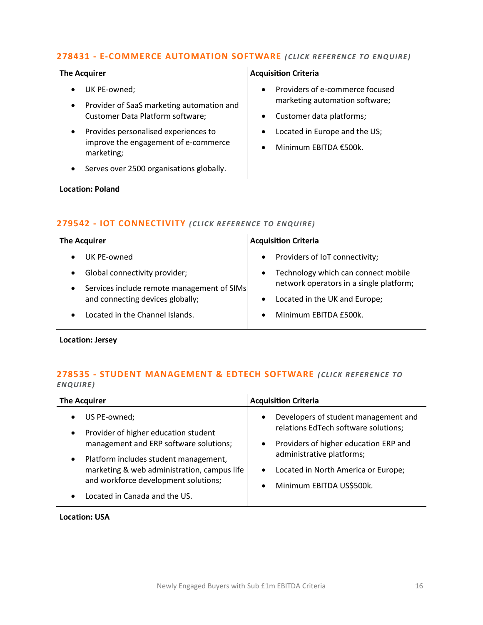#### **278431 - [E-COMMERCE AUTOMATION SOFTWARE](mailto:maryia.amrez@langcliffeinternational.com?subject=278431%20-%20E-Commerce%20Automation%20Software)** *(CLICK REFE RENCE TO ENQUIRE)*

| <b>The Acquirer</b>                                                                                        | <b>Acquisition Criteria</b>                                                                                             |
|------------------------------------------------------------------------------------------------------------|-------------------------------------------------------------------------------------------------------------------------|
| UK PE-owned;<br>Provider of SaaS marketing automation and<br>$\bullet$<br>Customer Data Platform software; | Providers of e-commerce focused<br>$\bullet$<br>marketing automation software;<br>Customer data platforms;<br>$\bullet$ |
| Provides personalised experiences to<br>improve the engagement of e-commerce<br>marketing;                 | Located in Europe and the US;<br>$\bullet$<br>Minimum EBITDA €500k.<br>$\bullet$                                        |
| Serves over 2500 organisations globally.                                                                   |                                                                                                                         |

#### **Location: Poland**

#### **279542 - [IOT CONNECTIVITY](mailto:maryia.amrez@langcliffeinternational.com?subject=279542%20-%20IoT%20Connectivity)** *(CLICK RE FERE NCE TO ENQUIRE)*

| <b>The Acquirer</b>                        | <b>Acquisition Criteria</b>             |
|--------------------------------------------|-----------------------------------------|
| UK PE-owned                                | Providers of IoT connectivity;          |
| $\bullet$                                  | $\bullet$                               |
| Global connectivity provider;              | Technology which can connect mobile     |
| $\bullet$                                  | $\bullet$                               |
| Services include remote management of SIMs | network operators in a single platform; |
| $\bullet$                                  | Located in the UK and Europe;           |
| and connecting devices globally;           | $\bullet$                               |
| Located in the Channel Islands.            | Minimum EBITDA £500k.                   |
| $\bullet$                                  | $\bullet$                               |

**Location: Jersey**

#### **278535 - [STUDENT MANAGEMENT & EDTECH SOFTWARE](mailto:george.davies@langcliffeinternational.com?subject=278535%20-%20Student%20Management%20and%20EdTech%20Software)** *(CLICK REFE RENCE TO ENQUIRE )*

| <b>The Acquirer</b>                                                                                                                                                                                                                                                                                                 | <b>Acquisition Criteria</b>                                                                                                                                                                                           |
|---------------------------------------------------------------------------------------------------------------------------------------------------------------------------------------------------------------------------------------------------------------------------------------------------------------------|-----------------------------------------------------------------------------------------------------------------------------------------------------------------------------------------------------------------------|
| US PE-owned;<br>$\bullet$<br>Provider of higher education student<br>management and ERP software solutions;<br>$\bullet$<br>Platform includes student management,<br>marketing & web administration, campus life<br>$\bullet$<br>and workforce development solutions;<br>$\bullet$<br>Located in Canada and the US. | Developers of student management and<br>relations EdTech software solutions;<br>Providers of higher education ERP and<br>administrative platforms;<br>Located in North America or Europe;<br>Minimum EBITDA US\$500k. |

#### **Location: USA**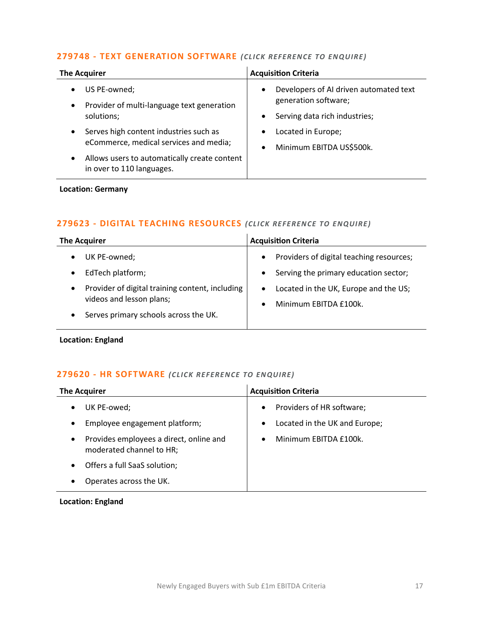#### **279748 - [TEXT GENERATION SOFTWARE](mailto:george.davies@langcliffeinternational.com?subject=279748%20-%20Text%20Generation%20Software)** (CLICK REFERENCE TO ENQUIRE)

| <b>The Acquirer</b>                                                                           | <b>Acquisition Criteria</b>                                                 |
|-----------------------------------------------------------------------------------------------|-----------------------------------------------------------------------------|
| US PE-owned;<br>Provider of multi-language text generation                                    | Developers of AI driven automated text<br>$\bullet$<br>generation software; |
| solutions;                                                                                    | Serving data rich industries;<br>$\bullet$                                  |
| Serves high content industries such as<br>$\bullet$<br>eCommerce, medical services and media; | Located in Europe;<br>$\bullet$<br>Minimum EBITDA US\$500k.<br>$\bullet$    |
| Allows users to automatically create content<br>$\bullet$<br>in over to 110 languages.        |                                                                             |

#### **Location: Germany**

#### **279623 - [DIGITAL TEACHING RESOURCES](mailto:emily.mcdermott@langcliffeinternational.com?subject=279623%20-%20Digital%20Teaching%20Resources)** *(CLICK REFE RENCE TO E NQUIRE )*

| <b>The Acquirer</b>                                                                                                                                    | <b>Acquisition Criteria</b>                                                                                                                                                                             |
|--------------------------------------------------------------------------------------------------------------------------------------------------------|---------------------------------------------------------------------------------------------------------------------------------------------------------------------------------------------------------|
| UK PE-owned;<br>$\bullet$<br>EdTech platform;<br>$\bullet$<br>Provider of digital training content, including<br>$\bullet$<br>videos and lesson plans; | Providers of digital teaching resources;<br>$\bullet$<br>Serving the primary education sector;<br>$\bullet$<br>Located in the UK, Europe and the US;<br>$\bullet$<br>Minimum EBITDA £100k.<br>$\bullet$ |
| Serves primary schools across the UK.<br>$\bullet$                                                                                                     |                                                                                                                                                                                                         |

**Location: England**

#### **279620 - [HR SOFTWARE](mailto:emily.mcdermott@langcliffeinternational.com?subject=279620%20-%20HR%20Software)** *(CLICK RE FEREN CE TO EN QUIRE)*

| <b>The Acquirer</b>                                                              | <b>Acquisition Criteria</b>                |
|----------------------------------------------------------------------------------|--------------------------------------------|
| UK PE-owed;<br>$\bullet$                                                         | Providers of HR software;<br>$\bullet$     |
| Employee engagement platform;<br>$\bullet$                                       | Located in the UK and Europe;<br>$\bullet$ |
| Provides employees a direct, online and<br>$\bullet$<br>moderated channel to HR; | Minimum EBITDA £100k.<br>$\bullet$         |
| Offers a full SaaS solution;<br>$\bullet$                                        |                                            |
| Operates across the UK.                                                          |                                            |
|                                                                                  |                                            |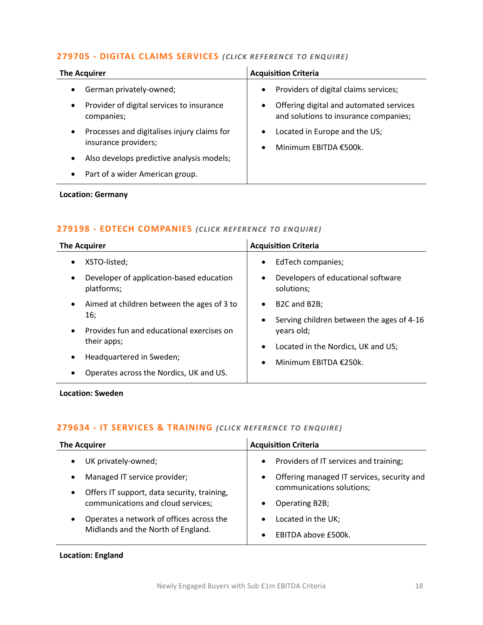#### **279705 - [DIGITAL CLAIMS SERVICES](mailto:eloka.philip@langcliffeinternational.com?subject=279705%20-%20Digital%20Claims%20Services)** *(CLICK RE FEREN CE TO ENQUIRE)*

| <b>The Acquirer</b>                                                                                                                                                                        | <b>Acquisition Criteria</b>                                                                                                                         |
|--------------------------------------------------------------------------------------------------------------------------------------------------------------------------------------------|-----------------------------------------------------------------------------------------------------------------------------------------------------|
| German privately-owned;<br>$\bullet$<br>Provider of digital services to insurance<br>$\bullet$<br>companies;                                                                               | Providers of digital claims services;<br>$\bullet$<br>Offering digital and automated services<br>$\bullet$<br>and solutions to insurance companies; |
| Processes and digitalises injury claims for<br>$\bullet$<br>insurance providers;<br>Also develops predictive analysis models;<br>$\bullet$<br>Part of a wider American group.<br>$\bullet$ | Located in Europe and the US;<br>$\bullet$<br>Minimum EBITDA €500k.<br>$\bullet$                                                                    |

#### **Location: Germany**

#### **279198 - [EDTECH COMPANIES](mailto:charlotte.keane@langcliffeinternational.com?subject=279198%20-%20EdTech%20Companies)** *(CLICK RE FERENCE TO ENQUIRE)*

| <b>The Acquirer</b>                                                          | <b>Acquisition Criteria</b>                                                                                             |
|------------------------------------------------------------------------------|-------------------------------------------------------------------------------------------------------------------------|
| XSTO-listed;<br>٠<br>Developer of application-based education<br>$\bullet$   | EdTech companies;<br>$\bullet$<br>Developers of educational software<br>$\bullet$                                       |
| platforms;                                                                   | solutions;                                                                                                              |
| Aimed at children between the ages of 3 to<br>$\bullet$                      | B <sub>2</sub> C and B <sub>2</sub> B;<br>٠                                                                             |
| 16;<br>Provides fun and educational exercises on<br>$\bullet$<br>their apps; | Serving children between the ages of 4-16<br>$\bullet$<br>years old;<br>Located in the Nordics, UK and US;<br>$\bullet$ |
| Headquartered in Sweden;<br>$\bullet$                                        | Minimum EBITDA €250k.<br>$\bullet$                                                                                      |
| Operates across the Nordics, UK and US.<br>$\bullet$                         |                                                                                                                         |

**Location: Sweden**

#### **279634 - [IT SERVICES & TRAINING](mailto:lauren.parker@langcliffeinternational.com?subject=279634%20-%20IT%20Services%20and%20Training)** (CLICK REFERENCE TO ENQUIRE)

| <b>The Acquirer</b>                                      | <b>Acquisition Criteria</b>                             |
|----------------------------------------------------------|---------------------------------------------------------|
| UK privately-owned;<br>$\bullet$                         | Providers of IT services and training;<br>$\bullet$     |
| Managed IT service provider;<br>$\bullet$                | Offering managed IT services, security and<br>$\bullet$ |
| Offers IT support, data security, training,<br>$\bullet$ | communications solutions;                               |
| communications and cloud services;                       | Operating B2B;                                          |
| Operates a network of offices across the<br>$\bullet$    | Located in the UK;<br>$\bullet$                         |
| Midlands and the North of England.                       | EBITDA above £500k.                                     |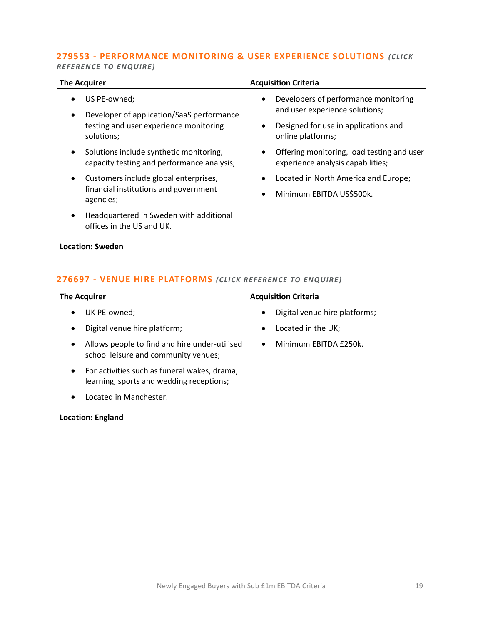#### **279553 - [PERFORMANCE MONITORING & USER EXPERIENCE SOLUTIONS](mailto:george.davies@langcliffeinternational.com?subject=279553%20-%20Performance%20Monitoring%20and%20User%20Experience%20Solutions)** *(CLICK*

*REFEREN CE TO ENQUIRE )*

| <b>The Acquirer</b>                                                                                               | <b>Acquisition Criteria</b>                                                                                                                                   |
|-------------------------------------------------------------------------------------------------------------------|---------------------------------------------------------------------------------------------------------------------------------------------------------------|
| US PE-owned;<br>Developer of application/SaaS performance<br>testing and user experience monitoring<br>solutions; | Developers of performance monitoring<br>$\bullet$<br>and user experience solutions;<br>Designed for use in applications and<br>$\bullet$<br>online platforms; |
| Solutions include synthetic monitoring,<br>capacity testing and performance analysis;                             | Offering monitoring, load testing and user<br>$\bullet$<br>experience analysis capabilities;                                                                  |
| Customers include global enterprises,<br>financial institutions and government<br>agencies;                       | Located in North America and Europe;<br>٠<br>Minimum EBITDA US\$500k.<br>$\bullet$                                                                            |
| Headquartered in Sweden with additional<br>offices in the US and UK.                                              |                                                                                                                                                               |

**Location: Sweden**

# **276697 - [VENUE HIRE PLATFORMS](mailto:millie.maddocks@langcliffeinternational.com?subject=276697%20-%20Venue%20Hire%20Platforms)** (CLICK REFERENCE TO ENQUIRE)

| <b>The Acquirer</b>                                                                                   | <b>Acquisition Criteria</b>                |
|-------------------------------------------------------------------------------------------------------|--------------------------------------------|
| UK PE-owned;                                                                                          | Digital venue hire platforms;<br>$\bullet$ |
| Digital venue hire platform;<br>$\bullet$                                                             | Located in the UK;<br>$\bullet$            |
| Allows people to find and hire under-utilised<br>$\bullet$<br>school leisure and community venues;    | Minimum EBITDA £250k.<br>$\bullet$         |
| For activities such as funeral wakes, drama,<br>$\bullet$<br>learning, sports and wedding receptions; |                                            |
| Located in Manchester.                                                                                |                                            |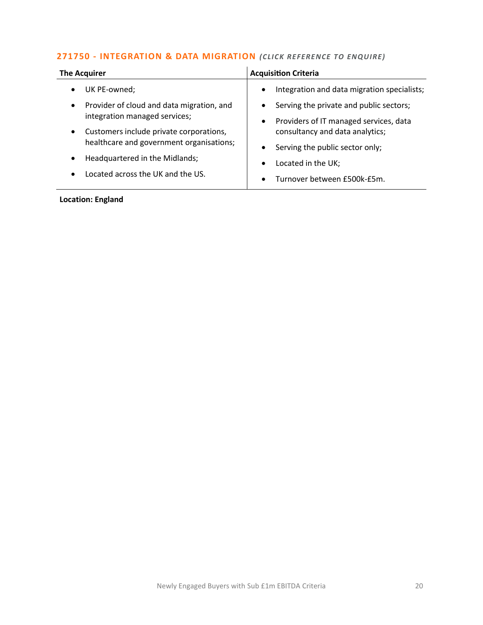#### **271750 - [INTEGRATION & DATA MIGRATION](mailto:emily.mcdermott@langcliffeinternational.com?subject=271750%20-%20Integration%20and%20Data%20Migration)** *(CLICK RE FERENCE TO ENQUIRE)*

| <b>The Acquirer</b>                                                      | <b>Acquisition Criteria</b>                                                            |
|--------------------------------------------------------------------------|----------------------------------------------------------------------------------------|
| UK PE-owned;                                                             | Integration and data migration specialists;<br>$\bullet$                               |
| Provider of cloud and data migration, and<br>$\bullet$                   | Serving the private and public sectors;<br>$\bullet$                                   |
| integration managed services;<br>Customers include private corporations, | Providers of IT managed services, data<br>$\bullet$<br>consultancy and data analytics; |
| healthcare and government organisations;                                 | Serving the public sector only;<br>٠                                                   |
| Headquartered in the Midlands;                                           | Located in the UK;<br>$\bullet$                                                        |
| Located across the UK and the US.                                        | Turnover between £500k-£5m.<br>$\bullet$                                               |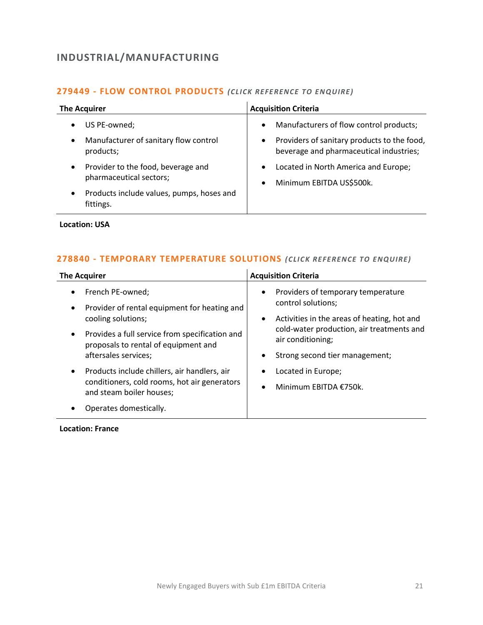# <span id="page-20-0"></span>**INDUSTRIAL/MANUFACTURING**

#### **279449 - [FLOW CONTROL PRODUCTS](mailto:george.davies@langcliffeinternational.com?subject=279449%20-%20Flow%20Control%20Products)** *(CLICK REFE RENCE TO EN QUIRE)*

| <b>The Acquirer</b>                                                        | <b>Acquisition Criteria</b>                                                                         |
|----------------------------------------------------------------------------|-----------------------------------------------------------------------------------------------------|
| US PE-owned;<br>$\bullet$                                                  | Manufacturers of flow control products;<br>$\bullet$                                                |
| Manufacturer of sanitary flow control<br>$\bullet$<br>products;            | Providers of sanitary products to the food,<br>$\bullet$<br>beverage and pharmaceutical industries; |
| Provider to the food, beverage and<br>$\bullet$<br>pharmaceutical sectors; | Located in North America and Europe;<br>$\bullet$<br>Minimum EBITDA US\$500k.<br>$\bullet$          |
| Products include values, pumps, hoses and<br>$\bullet$<br>fittings.        |                                                                                                     |

#### **Location: USA**

#### **278840 - [TEMPORARY TEMPERATURE SOLUTIONS](mailto:charlotte.keane@langcliffeinternational.com?subject=278840%20-%20Temporary%20Temperature%20Solutions)** *(CLICK RE FERE NCE TO ENQUIRE)*

|                                                                          | <b>The Acquirer</b>                                                                    |                       | <b>Acquisition Criteria</b>                                       |
|--------------------------------------------------------------------------|----------------------------------------------------------------------------------------|-----------------------|-------------------------------------------------------------------|
|                                                                          | French PE-owned;                                                                       | $\bullet$             | Providers of temporary temperature                                |
| $\bullet$                                                                | Provider of rental equipment for heating and<br>cooling solutions;                     | $\bullet$             | control solutions;<br>Activities in the areas of heating, hot and |
| $\bullet$                                                                | Provides a full service from specification and<br>proposals to rental of equipment and |                       | cold-water production, air treatments and<br>air conditioning;    |
|                                                                          | aftersales services;                                                                   |                       | Strong second tier management;                                    |
| $\bullet$                                                                | Products include chillers, air handlers, air                                           |                       | Located in Europe;                                                |
| conditioners, cold rooms, hot air generators<br>and steam boiler houses; |                                                                                        | Minimum EBITDA €750k. |                                                                   |
|                                                                          | Operates domestically.                                                                 |                       |                                                                   |

#### **Location: France**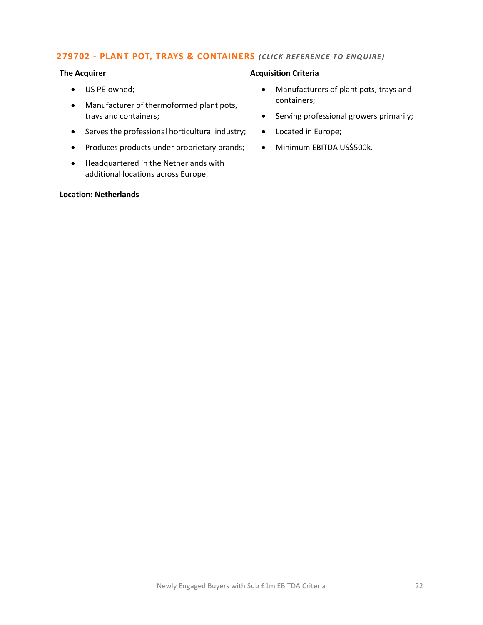#### **279702 - [PLANT POT, TRAYS & CONTAINERS](mailto:george.davies@langcliffeinternational.com?subject=279702%20-%20Plant%20Pot,%20Trays%20and%20Containers)** *(CLICK RE FERENCE TO ENQUIRE)*

| <b>The Acquirer</b>                                                                       | <b>Acquisition Criteria</b>                                         |
|-------------------------------------------------------------------------------------------|---------------------------------------------------------------------|
| US PE-owned;                                                                              | Manufacturers of plant pots, trays and<br>$\bullet$                 |
| Manufacturer of thermoformed plant pots,<br>$\bullet$<br>trays and containers;            | containers;<br>Serving professional growers primarily;<br>$\bullet$ |
| Serves the professional horticultural industry;<br>$\bullet$                              | Located in Europe;<br>$\bullet$                                     |
| Produces products under proprietary brands;                                               | Minimum EBITDA US\$500k.<br>$\bullet$                               |
| Headquartered in the Netherlands with<br>$\bullet$<br>additional locations across Europe. |                                                                     |

#### **Location: Netherlands**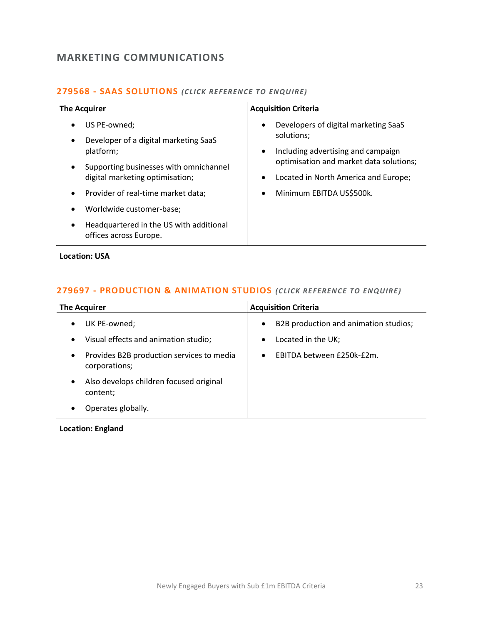# <span id="page-22-0"></span>**MARKETING COMMUNICATIONS**

| <b>The Acquirer</b>                                                                    | <b>Acquisition Criteria</b>                                                                                        |
|----------------------------------------------------------------------------------------|--------------------------------------------------------------------------------------------------------------------|
| US PE-owned;<br>Developer of a digital marketing SaaS<br>$\bullet$<br>platform;        | Developers of digital marketing SaaS<br>$\bullet$<br>solutions;<br>Including advertising and campaign<br>$\bullet$ |
| Supporting businesses with omnichannel<br>$\bullet$<br>digital marketing optimisation; | optimisation and market data solutions;<br>Located in North America and Europe;<br>$\bullet$                       |
| Provider of real-time market data;<br>$\bullet$                                        | Minimum EBITDA US\$500k.<br>$\bullet$                                                                              |
| Worldwide customer-base;<br>٠                                                          |                                                                                                                    |
| Headquartered in the US with additional<br>$\bullet$<br>offices across Europe.         |                                                                                                                    |

#### **279568 - [SAAS SOLUTIONS](mailto:george.davies@langcliffeinternational.com?subject=279568%20-%20SaaS%20Solutions)** *(CLICK RE FEREN CE TO ENQUIRE)*

**Location: USA**

#### **279697 - [PRODUCTION & ANIMATION STUDIOS](mailto:millie.maddocks@langcliffeinternational.com?subject=279697%20-%20Production%20and%20%20Animation%20Studios)** (CLICK REFERENCE TO ENQUIRE)

| <b>The Acquirer</b>                                                     | <b>Acquisition Criteria</b>                        |  |
|-------------------------------------------------------------------------|----------------------------------------------------|--|
| UK PE-owned;<br>$\bullet$                                               | B2B production and animation studios;<br>$\bullet$ |  |
| Visual effects and animation studio;<br>$\bullet$                       | Located in the UK;<br>$\bullet$                    |  |
| Provides B2B production services to media<br>$\bullet$<br>corporations; | EBITDA between £250k-£2m.<br>$\bullet$             |  |
| Also develops children focused original<br>$\bullet$<br>content;        |                                                    |  |
| Operates globally.                                                      |                                                    |  |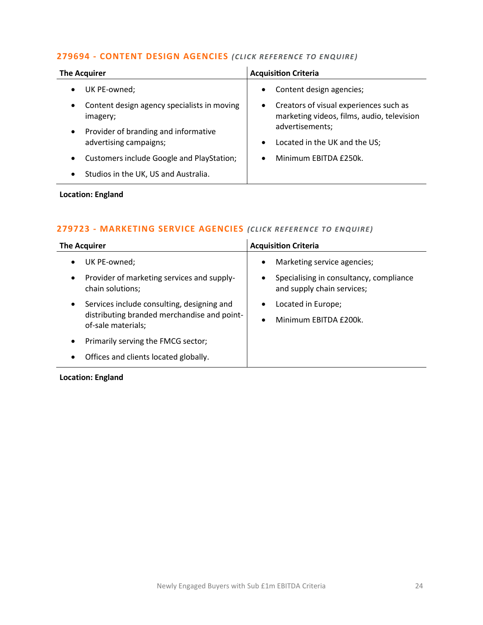#### **279694 - [CONTENT DESIGN AGENCIES](mailto:maryia.amrez@langcliffeinternational.com?subject=279694%20-%20Content%20Design%20Agencies)** *(CLICK REFE RENCE TO EN QUIRE)*

| <b>The Acquirer</b>                                            | <b>Acquisition Criteria</b>                                                                       |
|----------------------------------------------------------------|---------------------------------------------------------------------------------------------------|
| UK PE-owned;                                                   | Content design agencies;<br>$\bullet$                                                             |
| Content design agency specialists in moving<br>imagery;        | Creators of visual experiences such as<br>$\bullet$<br>marketing videos, films, audio, television |
| Provider of branding and informative<br>advertising campaigns; | advertisements;<br>Located in the UK and the US;<br>$\bullet$                                     |
| Customers include Google and PlayStation;<br>$\bullet$         | Minimum EBITDA £250k.<br>$\bullet$                                                                |
| Studios in the UK, US and Australia.<br>$\bullet$              |                                                                                                   |

#### **Location: England**

#### **279723 - [MARKETING SERVICE AGENCIES](mailto:maryia.amrez@langcliffeinternational.com?subject=279723%20-%20Marketing%20Service%20Agencies)** *(CLICK REFE RENCE TO E NQUIRE )*

| <b>The Acquirer</b>                                                                      | <b>Acquisition Criteria</b>             |
|------------------------------------------------------------------------------------------|-----------------------------------------|
| UK PE-owned;                                                                             | Marketing service agencies;             |
| Provider of marketing services and supply-                                               | $\bullet$                               |
| $\bullet$                                                                                | Specialising in consultancy, compliance |
| chain solutions;                                                                         | and supply chain services;              |
| Services include consulting, designing and                                               | Located in Europe;                      |
| distributing branded merchandise and point-                                              | Minimum EBITDA £200k.                   |
| of-sale materials;                                                                       | $\bullet$                               |
| Primarily serving the FMCG sector;<br>Offices and clients located globally.<br>$\bullet$ |                                         |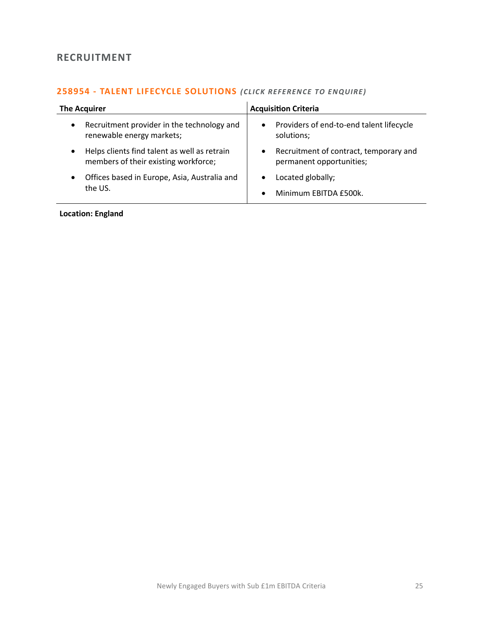# <span id="page-24-0"></span>**RECRUITMENT**

#### **258954 - [TALENT LIFECYCLE SOLUTIONS](mailto:maryia.amrez@langcliffeinternational.com?subject=258954%20-%20Talent%20Lifecycle%20Solutions)** (CLICK REFERENCE TO ENQUIRE)

| <b>The Acquirer</b>                                                                  | <b>Acquisition Criteria</b>                                                     |  |
|--------------------------------------------------------------------------------------|---------------------------------------------------------------------------------|--|
| Recruitment provider in the technology and<br>$\bullet$<br>renewable energy markets; | Providers of end-to-end talent lifecycle<br>$\bullet$<br>solutions;             |  |
| Helps clients find talent as well as retrain<br>members of their existing workforce; | Recruitment of contract, temporary and<br>$\bullet$<br>permanent opportunities; |  |
| Offices based in Europe, Asia, Australia and<br>the US.                              | Located globally;<br>$\bullet$                                                  |  |
|                                                                                      | Minimum EBITDA £500k.<br>$\bullet$                                              |  |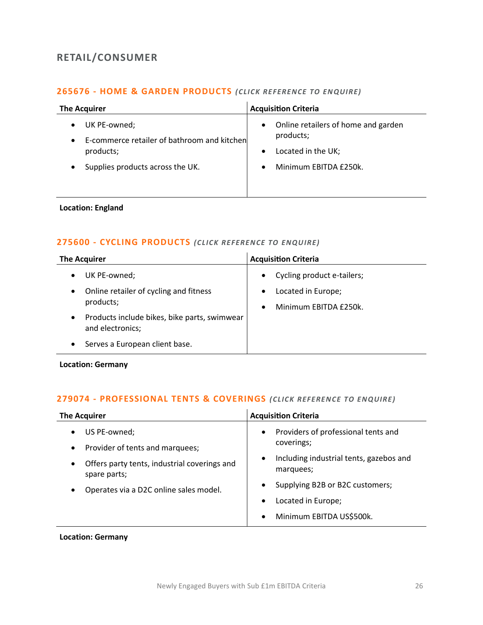# <span id="page-25-0"></span>**RETAIL/CONSUMER**

#### **265676 - [HOME & GARDEN PRODUCTS](mailto:maryia.amrez@langcliffeinternational.com?subject=265676%20-%20Home%20and%20Garden%20Products)** *(CLICK RE FERENCE TO EN QUIRE)*

| <b>The Acquirer</b>                                                                                          | <b>Acquisition Criteria</b>                                                                                                            |
|--------------------------------------------------------------------------------------------------------------|----------------------------------------------------------------------------------------------------------------------------------------|
| UK PE-owned;<br>E-commerce retailer of bathroom and kitchen<br>products;<br>Supplies products across the UK. | Online retailers of home and garden<br>$\bullet$<br>products;<br>Located in the UK;<br>$\bullet$<br>Minimum EBITDA £250k.<br>$\bullet$ |

#### **Location: England**

#### **275600 - [CYCLING PRODUCTS](mailto:george.davies@langcliffeinternational.com?subject=275600%20-%20Cycling%20Products)** *(CLICK RE FERE NCE TO ENQUIRE)*

| <b>The Acquirer</b>                                                   | <b>Acquisition Criteria</b>                                           |
|-----------------------------------------------------------------------|-----------------------------------------------------------------------|
| UK PE-owned;                                                          | Cycling product e-tailers;<br>$\bullet$                               |
| Online retailer of cycling and fitness<br>products;                   | Located in Europe;<br>$\bullet$<br>Minimum EBITDA £250k.<br>$\bullet$ |
| Products include bikes, bike parts, swimwear<br>٠<br>and electronics; |                                                                       |
| Serves a European client base.                                        |                                                                       |

**Location: Germany**

#### **279074 - [PROFESSIONAL TENTS & COVERINGS](mailto:george.davies@langcliffeinternational.com?subject=279074%20-%20Professional%20Tents%20and%20Coverings)** *(CLICK REFEREN CE TO EN QUIRE )*

| <b>The Acquirer</b>                                          | <b>Acquisition Criteria</b>                                       |
|--------------------------------------------------------------|-------------------------------------------------------------------|
| US PE-owned;<br>$\bullet$<br>Provider of tents and marquees; | Providers of professional tents and<br>$\bullet$<br>coverings;    |
| Offers party tents, industrial coverings and<br>spare parts; | Including industrial tents, gazebos and<br>$\bullet$<br>marquees; |
| Operates via a D2C online sales model.                       | Supplying B2B or B2C customers;<br>Located in Europe;             |
|                                                              | Minimum EBITDA US\$500k.                                          |

#### **Location: Germany**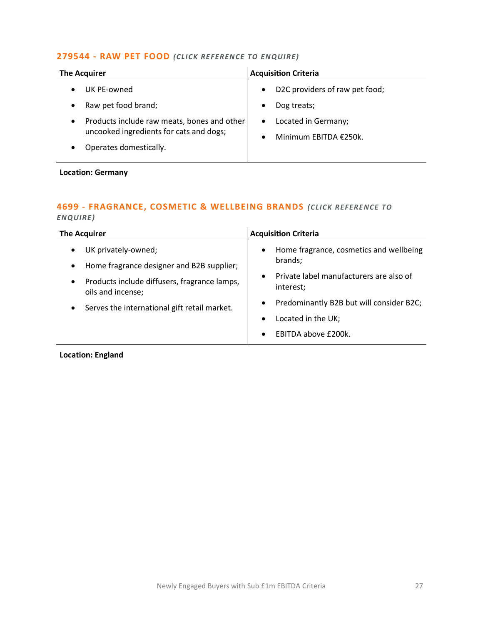#### **279544 - [RAW PET FOOD](mailto:maryia.amrez@langcliffeinternational.com?subject=279544%20-%20Raw%20Pet%20Food)** *(CLICK RE FERENCE TO EN QUIRE )*

| <b>The Acquirer</b>                                                                                              | <b>Acquisition Criteria</b>                                            |
|------------------------------------------------------------------------------------------------------------------|------------------------------------------------------------------------|
| UK PE-owned                                                                                                      | D2C providers of raw pet food;<br>$\bullet$                            |
| Raw pet food brand;                                                                                              | Dog treats;<br>$\bullet$                                               |
| Products include raw meats, bones and other<br>uncooked ingredients for cats and dogs;<br>Operates domestically. | Located in Germany;<br>$\bullet$<br>Minimum EBITDA €250k.<br>$\bullet$ |
|                                                                                                                  |                                                                        |

#### **Location: Germany**

#### **4699 - [FRAGRANCE, COSMETIC & WELLBEING BRANDS](mailto:katie.griffith@langcliffeinternational.com?subject=4699%20-%20Fragrance,%20Cosmetic%20and%20Wellbeing%20Brands)** *(CLICK REFERENCE TO ENQUIRE )*

| <b>The Acquirer</b>                                                            | <b>Acquisition Criteria</b>                                                              |
|--------------------------------------------------------------------------------|------------------------------------------------------------------------------------------|
| UK privately-owned;<br>Home fragrance designer and B2B supplier;<br>$\bullet$  | Home fragrance, cosmetics and wellbeing<br>$\bullet$<br>brands;                          |
| Products include diffusers, fragrance lamps,<br>$\bullet$<br>oils and incense; | Private label manufacturers are also of<br>$\bullet$<br>interest;                        |
| Serves the international gift retail market.<br>$\bullet$                      | Predominantly B2B but will consider B2C;<br>$\bullet$<br>Located in the UK;<br>$\bullet$ |
|                                                                                | <b>EBITDA above £200k.</b><br>$\bullet$                                                  |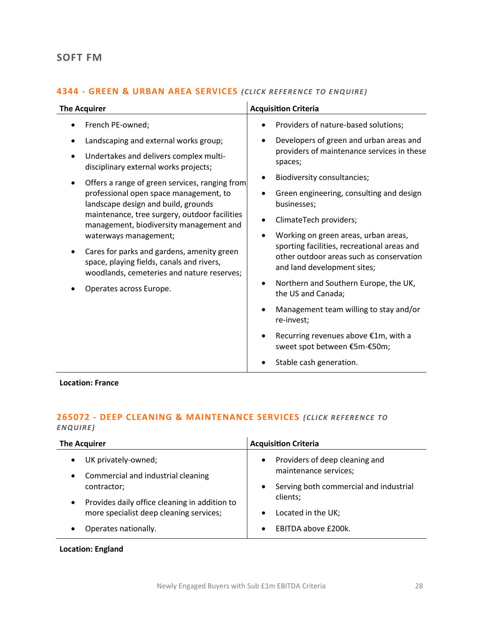# <span id="page-27-0"></span>**SOFT FM**

#### **4344 - [GREEN & URBAN AREA SERVICES](mailto:poppy.briggs@langcliffeinternational.com?subject=4344%20-%20Green%20and%20Urban%20Area%20Services)** (CLICK REFERENCE TO ENQUIRE)

| <b>The Acquirer</b>                                                                                                                                                                                                                                                                                                                                                                                                                                                                                                                                  | <b>Acquisition Criteria</b>                                                                                                                                                                                                                                                                                                                                                                                                                                                                                                                                                           |
|------------------------------------------------------------------------------------------------------------------------------------------------------------------------------------------------------------------------------------------------------------------------------------------------------------------------------------------------------------------------------------------------------------------------------------------------------------------------------------------------------------------------------------------------------|---------------------------------------------------------------------------------------------------------------------------------------------------------------------------------------------------------------------------------------------------------------------------------------------------------------------------------------------------------------------------------------------------------------------------------------------------------------------------------------------------------------------------------------------------------------------------------------|
| French PE-owned;                                                                                                                                                                                                                                                                                                                                                                                                                                                                                                                                     | Providers of nature-based solutions;                                                                                                                                                                                                                                                                                                                                                                                                                                                                                                                                                  |
| Landscaping and external works group;<br>Undertakes and delivers complex multi-<br>disciplinary external works projects;<br>Offers a range of green services, ranging from<br>professional open space management, to<br>landscape design and build, grounds<br>maintenance, tree surgery, outdoor facilities<br>management, biodiversity management and<br>waterways management;<br>Cares for parks and gardens, amenity green<br>space, playing fields, canals and rivers,<br>woodlands, cemeteries and nature reserves;<br>Operates across Europe. | Developers of green and urban areas and<br>providers of maintenance services in these<br>spaces;<br>Biodiversity consultancies;<br>Green engineering, consulting and design<br>businesses;<br>ClimateTech providers;<br>Working on green areas, urban areas,<br>sporting facilities, recreational areas and<br>other outdoor areas such as conservation<br>and land development sites;<br>Northern and Southern Europe, the UK,<br>the US and Canada;<br>Management team willing to stay and/or<br>re-invest;<br>Recurring revenues above €1m, with a<br>sweet spot between €5m-€50m; |
|                                                                                                                                                                                                                                                                                                                                                                                                                                                                                                                                                      | Stable cash generation.                                                                                                                                                                                                                                                                                                                                                                                                                                                                                                                                                               |

**Location: France**

#### **265072 - [DEEP CLEANING & MAINTENANCE SERVICES](mailto:jack.hutchinson@langcliffeinternational.com?subject=265072%20-%20Deep%20Cleaning%20and%20Maintenance%20Services)** *(CLICK REFERENCE TO ENQUIRE )*

| <b>The Acquirer</b>                                                                                                                                                                                                                 | <b>Acquisition Criteria</b>                                                                                                                                                                       |  |
|-------------------------------------------------------------------------------------------------------------------------------------------------------------------------------------------------------------------------------------|---------------------------------------------------------------------------------------------------------------------------------------------------------------------------------------------------|--|
| UK privately-owned;<br>$\bullet$<br>Commercial and industrial cleaning<br>$\bullet$<br>contractor;<br>Provides daily office cleaning in addition to<br>$\bullet$<br>more specialist deep cleaning services;<br>Operates nationally. | Providers of deep cleaning and<br>$\bullet$<br>maintenance services;<br>Serving both commercial and industrial<br>$\bullet$<br>clients;<br>Located in the UK;<br>EBITDA above £200k.<br>$\bullet$ |  |
|                                                                                                                                                                                                                                     |                                                                                                                                                                                                   |  |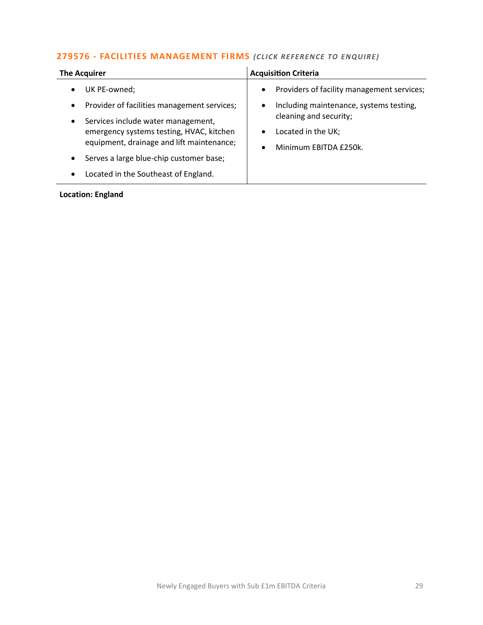#### **279576 - [FACILITIES MANAGEMENT FIRMS](mailto:emily.mcdermott@langcliffeinternational.com?subject=279576%20-%20Facilities%20Management%20Firms)** (CLICK REFERENCE TO ENQUIRE)

| <b>The Acquirer</b>                                                                                                                                                                                                  | <b>Acquisition Criteria</b>                                                                                                                                                                                |
|----------------------------------------------------------------------------------------------------------------------------------------------------------------------------------------------------------------------|------------------------------------------------------------------------------------------------------------------------------------------------------------------------------------------------------------|
| UK PE-owned;<br>Provider of facilities management services;<br>$\bullet$<br>Services include water management,<br>$\bullet$<br>emergency systems testing, HVAC, kitchen<br>equipment, drainage and lift maintenance; | Providers of facility management services;<br>$\bullet$<br>Including maintenance, systems testing,<br>٠<br>cleaning and security;<br>Located in the UK;<br>$\bullet$<br>Minimum EBITDA £250k.<br>$\bullet$ |
| Serves a large blue-chip customer base;                                                                                                                                                                              |                                                                                                                                                                                                            |
| Located in the Southeast of England.<br>$\bullet$                                                                                                                                                                    |                                                                                                                                                                                                            |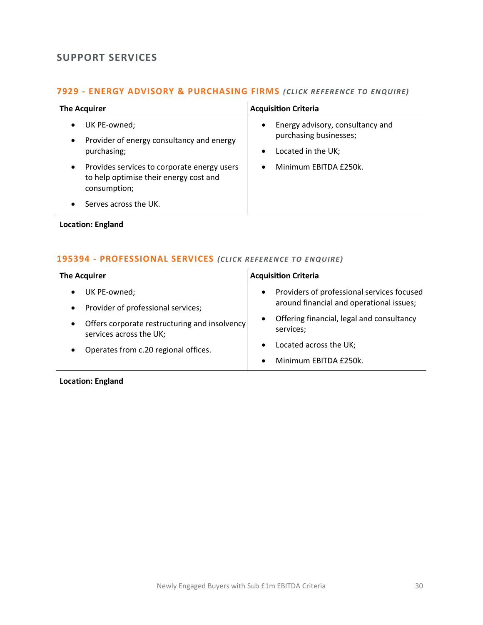# <span id="page-29-0"></span>**SUPPORT SERVICES**

# **7929 - [ENERGY ADVISORY & PURCHASING FIRMS](mailto:millie.maddocks@langcliffeinternational.com?subject=7929%20-%20Energy%20Advisory%20and%20Purchasing%20Firms)** *(CLICK RE FERENCE TO ENQUIRE)*

| <b>The Acquirer</b>    |                                                                                                       |                        | <b>Acquisition Criteria</b>                                                      |
|------------------------|-------------------------------------------------------------------------------------------------------|------------------------|----------------------------------------------------------------------------------|
| $\bullet$<br>$\bullet$ | UK PE-owned;<br>Provider of energy consultancy and energy<br>purchasing;                              | $\bullet$<br>$\bullet$ | Energy advisory, consultancy and<br>purchasing businesses;<br>Located in the UK; |
| $\bullet$              | Provides services to corporate energy users<br>to help optimise their energy cost and<br>consumption; | $\bullet$              | Minimum EBITDA £250k.                                                            |
|                        | Serves across the UK.                                                                                 |                        |                                                                                  |

#### **Location: England**

#### 195394 - [PROFESSIONAL SERVICES](mailto:millie.maddocks@langcliffeinternational.com?subject=195394%20-%20Professional%20Services%20) (CLICK REFERENCE TO ENQUIRE)

| <b>The Acquirer</b>                                                      | <b>Acquisition Criteria</b>                                                                         |
|--------------------------------------------------------------------------|-----------------------------------------------------------------------------------------------------|
| UK PE-owned;<br>Provider of professional services;                       | Providers of professional services focused<br>$\bullet$<br>around financial and operational issues; |
| Offers corporate restructuring and insolvency<br>services across the UK; | Offering financial, legal and consultancy<br>$\bullet$<br>services;                                 |
| Operates from c.20 regional offices.                                     | Located across the UK;<br>$\bullet$                                                                 |
|                                                                          | Minimum EBITDA £250k.                                                                               |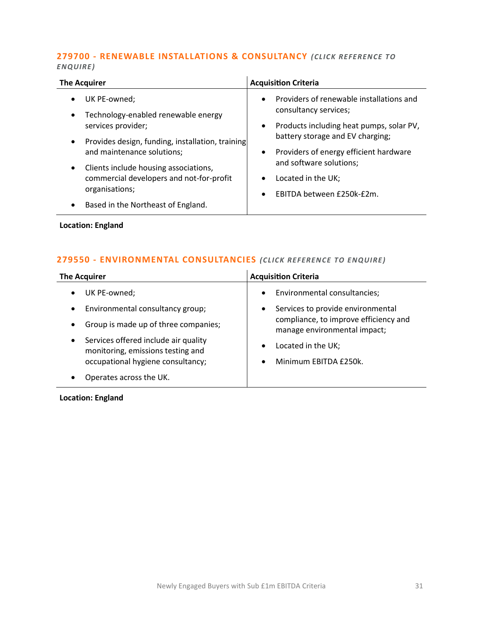#### **279700 - [RENEWABLE INSTALLATIONS & CONSULTANCY](mailto:millie.maddocks@langcliffeinternational.com?subject=279700%20-%20Renewable%20Installations%20and%20Consultancy)** *(CLICK REFEREN CE TO ENQUIRE )*

| <b>The Acquirer</b>                                                                                                                                                                                                                                   | <b>Acquisition Criteria</b>                                                                                                                                                        |
|-------------------------------------------------------------------------------------------------------------------------------------------------------------------------------------------------------------------------------------------------------|------------------------------------------------------------------------------------------------------------------------------------------------------------------------------------|
| UK PE-owned;<br>Technology-enabled renewable energy<br>services provider;                                                                                                                                                                             | Providers of renewable installations and<br>$\bullet$<br>consultancy services;<br>Products including heat pumps, solar PV,<br>٠                                                    |
| Provides design, funding, installation, training<br>$\bullet$<br>and maintenance solutions;<br>Clients include housing associations,<br>commercial developers and not-for-profit<br>organisations;<br>Based in the Northeast of England.<br>$\bullet$ | battery storage and EV charging;<br>Providers of energy efficient hardware<br>$\bullet$<br>and software solutions;<br>Located in the UK;<br>$\bullet$<br>EBITDA between £250k-£2m. |

**Location: England**

#### **279550 - [ENVIRONMENTAL CONSULTANCIES](mailto:maryia.amrez@langcliffeinternational.com?subject=279550%20-%20Environmental%20Consultancies)** *(CLICK REFEREN CE TO ENQUIRE)*

| <b>The Acquirer</b>                                                                    | <b>Acquisition Criteria</b>                                           |
|----------------------------------------------------------------------------------------|-----------------------------------------------------------------------|
| UK PE-owned;<br>٠                                                                      | Environmental consultancies;                                          |
| Environmental consultancy group;<br>$\bullet$                                          | Services to provide environmental                                     |
| Group is made up of three companies;<br>$\bullet$                                      | compliance, to improve efficiency and<br>manage environmental impact; |
| Services offered include air quality<br>$\bullet$<br>monitoring, emissions testing and | Located in the UK;                                                    |
| occupational hygiene consultancy;                                                      | Minimum EBITDA £250k.                                                 |
| Operates across the UK.<br>٠                                                           |                                                                       |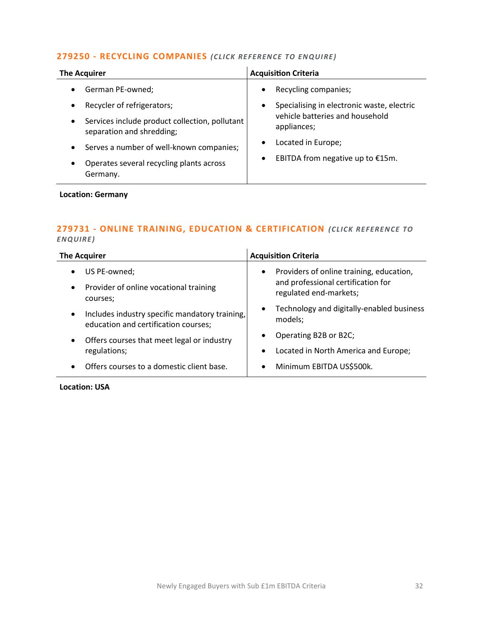#### **279250 - [RECYCLING COMPANIES](mailto:poppy.briggs@langcliffeinternational.com?subject=279250%20-%20Recycling%20Companies)** *(CLICK RE FERENCE TO EN QUIRE)*

| <b>The Acquirer</b>                                                                      | <b>Acquisition Criteria</b>                             |
|------------------------------------------------------------------------------------------|---------------------------------------------------------|
| German PE-owned;                                                                         | Recycling companies;<br>$\bullet$                       |
| Recycler of refrigerators;                                                               | Specialising in electronic waste, electric<br>$\bullet$ |
| Services include product collection, pollutant<br>$\bullet$<br>separation and shredding; | vehicle batteries and household<br>appliances;          |
| Serves a number of well-known companies;<br>$\bullet$                                    | Located in Europe;<br>$\bullet$                         |
| Operates several recycling plants across<br>$\bullet$<br>Germany.                        | EBITDA from negative up to $£15m$ .<br>$\bullet$        |

#### **Location: Germany**

#### **279731 - [ONLINE TRAINING, EDUCATION & CERTIFICATION](mailto:george.davies@langcliffeinternational.com?subject=279731%20-%20Online%20Training,%20Education%20and%20Certification) (CLICK REFERENCE TO** *ENQUIRE )*

| <b>The Acquirer</b>                                                                                 | <b>Acquisition Criteria</b>                                                                 |  |
|-----------------------------------------------------------------------------------------------------|---------------------------------------------------------------------------------------------|--|
| US PE-owned;<br>$\bullet$                                                                           | Providers of online training, education,<br>$\bullet$<br>and professional certification for |  |
| • Provider of online vocational training<br>courses;                                                | regulated end-markets;                                                                      |  |
| Includes industry specific mandatory training,<br>$\bullet$<br>education and certification courses; | Technology and digitally-enabled business<br>$\bullet$<br>models;                           |  |
| Offers courses that meet legal or industry<br>$\bullet$                                             | Operating B2B or B2C;                                                                       |  |
| regulations;                                                                                        | Located in North America and Europe;<br>$\bullet$                                           |  |
| Offers courses to a domestic client base.<br>$\bullet$                                              | Minimum EBITDA US\$500k.<br>$\bullet$                                                       |  |

#### **Location: USA**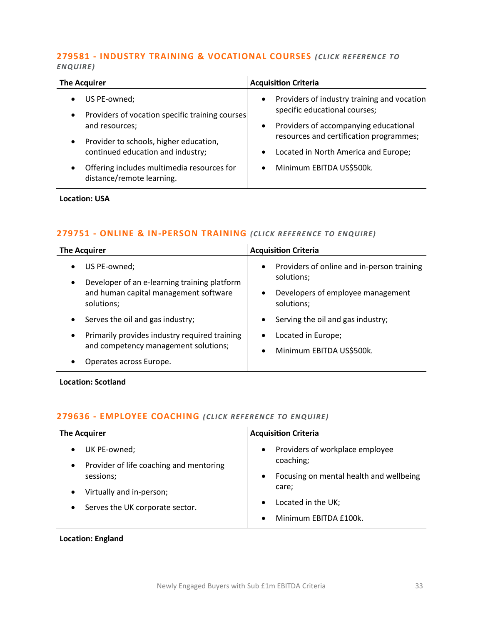#### **279581 - [INDUSTRY TRAINING & VOCATIONAL COURSES](mailto:george.davies@langcliffeinternational.com?subject=279581%20-%20Industry%20Training%20and%20Vocational%20Courses)** *(CLICK RE FEREN CE TO ENQUIRE )*

| <b>The Acquirer</b>                                                     | <b>Acquisition Criteria</b>                              |
|-------------------------------------------------------------------------|----------------------------------------------------------|
| US PE-owned;                                                            | Providers of industry training and vocation<br>$\bullet$ |
| Providers of vocation specific training courses                         | specific educational courses;                            |
| and resources;                                                          | Providers of accompanying educational<br>$\bullet$       |
| Provider to schools, higher education,                                  | resources and certification programmes;                  |
| continued education and industry;                                       | Located in North America and Europe;<br>$\bullet$        |
| Offering includes multimedia resources for<br>distance/remote learning. | Minimum EBITDA US\$500k.<br>$\bullet$                    |

#### **Location: USA**

#### **279751 - [ONLINE & IN-PERSON TRAINING](mailto:george.davies@langcliffeinternational.com?subject=279751%20-%20Online%20and%20In-Person%20Training)** *(CLICK REFE RENCE TO E NQUIRE )*

|                                                     | <b>The Acquirer</b>                                          |                                                 | <b>Acquisition Criteria</b>                              |
|-----------------------------------------------------|--------------------------------------------------------------|-------------------------------------------------|----------------------------------------------------------|
| $\bullet$<br>$\bullet$                              | US PE-owned;<br>Developer of an e-learning training platform | $\bullet$                                       | Providers of online and in-person training<br>solutions; |
| and human capital management software<br>solutions; | $\bullet$                                                    | Developers of employee management<br>solutions; |                                                          |
| $\bullet$                                           | Serves the oil and gas industry;                             | $\bullet$                                       | Serving the oil and gas industry;                        |
| $\bullet$                                           | Primarily provides industry required training                | $\bullet$                                       | Located in Europe;                                       |
| and competency management solutions;                | $\bullet$                                                    | Minimum EBITDA US\$500k.                        |                                                          |
| ٠                                                   | Operates across Europe.                                      |                                                 |                                                          |

**Location: Scotland**

#### **279636 - [EMPLOYEE COACHING](mailto:emily.mcdermott@langcliffeinternational.com?subject=279636%20-%20Employee%20Coaching)** *(CLICK REFERENCE TO EN QUIRE)*

| <b>The Acquirer</b>                                                                                                                 | <b>Acquisition Criteria</b>                                                                                                                                                                         |
|-------------------------------------------------------------------------------------------------------------------------------------|-----------------------------------------------------------------------------------------------------------------------------------------------------------------------------------------------------|
| UK PE-owned;<br>Provider of life coaching and mentoring<br>sessions;<br>Virtually and in-person;<br>Serves the UK corporate sector. | Providers of workplace employee<br>$\bullet$<br>coaching;<br>Focusing on mental health and wellbeing<br>$\bullet$<br>care;<br>Located in the UK;<br>$\bullet$<br>Minimum EBITDA £100k.<br>$\bullet$ |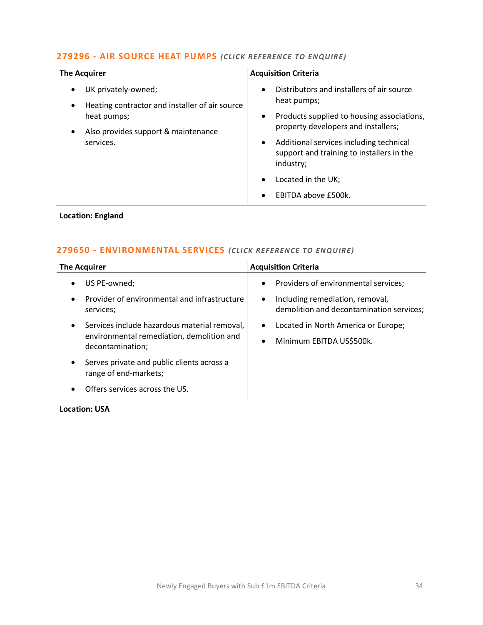#### **279296 - [AIR SOURCE HEAT PUMPS](mailto:jack.hutchinson@langcliffeinternational.com?subject=279296%20-%20Air%20Source%20Heat%20Pumps)** *(CLICK REFEREN CE TO EN QUIRE)*

| <b>The Acquirer</b>                                                   | <b>Acquisition Criteria</b>                                                                                                                                                                              |
|-----------------------------------------------------------------------|----------------------------------------------------------------------------------------------------------------------------------------------------------------------------------------------------------|
| UK privately-owned;<br>Heating contractor and installer of air source | Distributors and installers of air source<br>$\bullet$<br>heat pumps;                                                                                                                                    |
| heat pumps;<br>Also provides support & maintenance<br>services.       | Products supplied to housing associations,<br>٠<br>property developers and installers;<br>Additional services including technical<br>$\bullet$<br>support and training to installers in the<br>industry; |
|                                                                       | Located in the UK;<br>$\bullet$<br>EBITDA above £500k.<br>$\bullet$                                                                                                                                      |

#### **Location: England**

#### **279650 - [ENVIRONMENTAL SERVICES](mailto:george.davies@langcliffeinternational.com?subject=279650%20-%20Environmental%20Services)** *(CLICK REFE RENCE TO EN QUIRE)*

| <b>The Acquirer</b>                                                                                                        | <b>Acquisition Criteria</b>                                                                                                           |
|----------------------------------------------------------------------------------------------------------------------------|---------------------------------------------------------------------------------------------------------------------------------------|
| US PE-owned;<br>$\bullet$<br>Provider of environmental and infrastructure<br>$\bullet$<br>services;                        | Providers of environmental services;<br>$\bullet$<br>Including remediation, removal,<br>٠<br>demolition and decontamination services; |
| Services include hazardous material removal,<br>$\bullet$<br>environmental remediation, demolition and<br>decontamination; | Located in North America or Europe;<br>$\bullet$<br>Minimum EBITDA US\$500k.<br>$\bullet$                                             |
| Serves private and public clients across a<br>$\bullet$<br>range of end-markets;                                           |                                                                                                                                       |
| Offers services across the US.                                                                                             |                                                                                                                                       |

**Location: USA**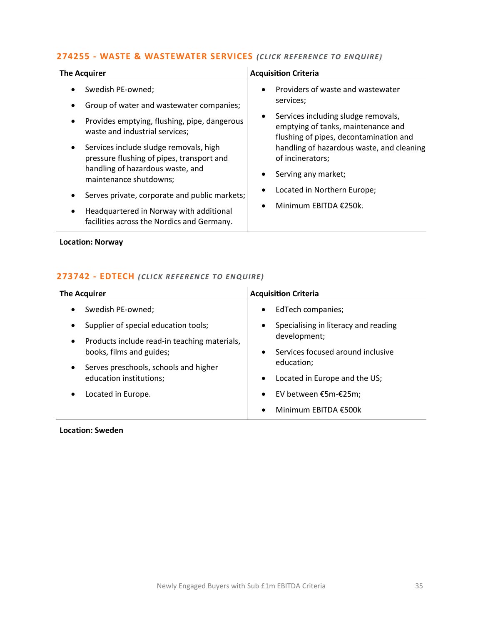#### **274255 - [WASTE & WASTEWATER SERVICES](mailto:charlotte.keane@lancliffeinternational.com?subject=274255%20-%20Waste%20and%20Wastewater%20Services)** *(CLICK RE FEREN CE TO ENQUIRE )*

| <b>The Acquirer</b>                                                                                                                                                                                                                                                                                                                                                                                                                                         | <b>Acquisition Criteria</b>                                                                                                                                                                                                                                                                                                        |
|-------------------------------------------------------------------------------------------------------------------------------------------------------------------------------------------------------------------------------------------------------------------------------------------------------------------------------------------------------------------------------------------------------------------------------------------------------------|------------------------------------------------------------------------------------------------------------------------------------------------------------------------------------------------------------------------------------------------------------------------------------------------------------------------------------|
| Swedish PE-owned;<br>Group of water and wastewater companies;<br>Provides emptying, flushing, pipe, dangerous<br>waste and industrial services;<br>Services include sludge removals, high<br>$\bullet$<br>pressure flushing of pipes, transport and<br>handling of hazardous waste, and<br>maintenance shutdowns;<br>Serves private, corporate and public markets;<br>Headquartered in Norway with additional<br>facilities across the Nordics and Germany. | Providers of waste and wastewater<br>$\bullet$<br>services;<br>Services including sludge removals,<br>emptying of tanks, maintenance and<br>flushing of pipes, decontamination and<br>handling of hazardous waste, and cleaning<br>of incinerators;<br>Serving any market;<br>Located in Northern Europe;<br>Minimum EBITDA €250k. |

#### **Location: Norway**

### **[273742 -](mailto:charlotte.keane@lancliffeinternational.com?subject=273742%20-%20EdTech%20) EDTECH** *(CLICK REFE RENCE TO EN QUIRE)*

| <b>The Acquirer</b>                                                                                                                         | <b>Acquisition Criteria</b>                                                                         |
|---------------------------------------------------------------------------------------------------------------------------------------------|-----------------------------------------------------------------------------------------------------|
| Swedish PE-owned;<br>Supplier of special education tools;                                                                                   | EdTech companies;<br>$\bullet$<br>Specialising in literacy and reading<br>$\bullet$<br>development; |
| Products include read-in teaching materials,<br>$\bullet$<br>books, films and guides;<br>Serves preschools, schools and higher<br>$\bullet$ | Services focused around inclusive<br>$\bullet$<br>education:                                        |
| education institutions;                                                                                                                     | Located in Europe and the US;<br>$\bullet$                                                          |
| Located in Europe.                                                                                                                          | EV between €5m-€25m;<br>$\bullet$                                                                   |
|                                                                                                                                             | Minimum EBITDA €500k<br>$\bullet$                                                                   |

**Location: Sweden**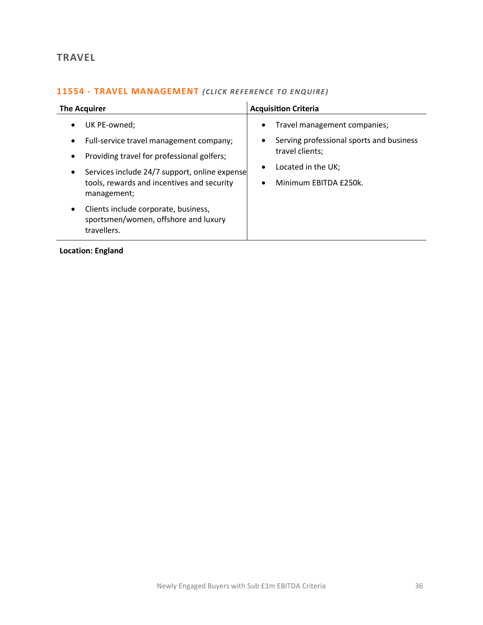# <span id="page-35-0"></span>**TRAVEL**

#### **11554 - [TRAVEL MANAGEMENT](mailto:millie.maddocks@langcliffeinternational.com?subject=11554%20-%20Travel%20Management)** *(CLICK RE FERENCE TO EN QUIRE)*

| <b>The Acquirer</b>                                                                                                                                                                                                                                                     | <b>Acquisition Criteria</b>                                                                                                                                                            |
|-------------------------------------------------------------------------------------------------------------------------------------------------------------------------------------------------------------------------------------------------------------------------|----------------------------------------------------------------------------------------------------------------------------------------------------------------------------------------|
| UK PE-owned;<br>$\bullet$<br>Full-service travel management company;<br>$\bullet$<br>Providing travel for professional golfers;<br>$\bullet$<br>Services include 24/7 support, online expense<br>$\bullet$<br>tools, rewards and incentives and security<br>management; | Travel management companies;<br>$\bullet$<br>Serving professional sports and business<br>٠<br>travel clients;<br>Located in the UK;<br>$\bullet$<br>Minimum EBITDA £250k.<br>$\bullet$ |
| Clients include corporate, business,<br>$\bullet$<br>sportsmen/women, offshore and luxury<br>travellers.                                                                                                                                                                |                                                                                                                                                                                        |